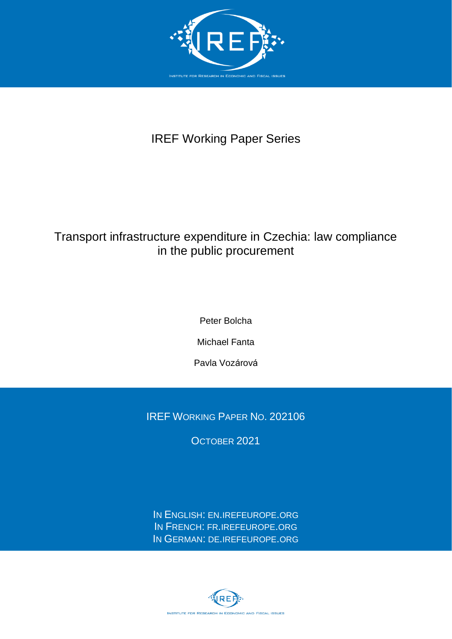

# IREF Working Paper Series

# Transport infrastructure expenditure in Czechia: law compliance in the public procurement

Peter Bolcha

Michael Fanta

Pavla Vozárová

IREF WORKING PAPER NO. 202106

OCTOBER 2021

IN ENGLISH: EN.[IREFEUROPE](http://en.irefeurope.org/).ORG IN FRENCH: FR.[IREFEUROPE](http://fr.irefeurope.org/).ORG IN GERMAN: DE.[IREFEUROPE](http://de.irefeurope.org/).ORG

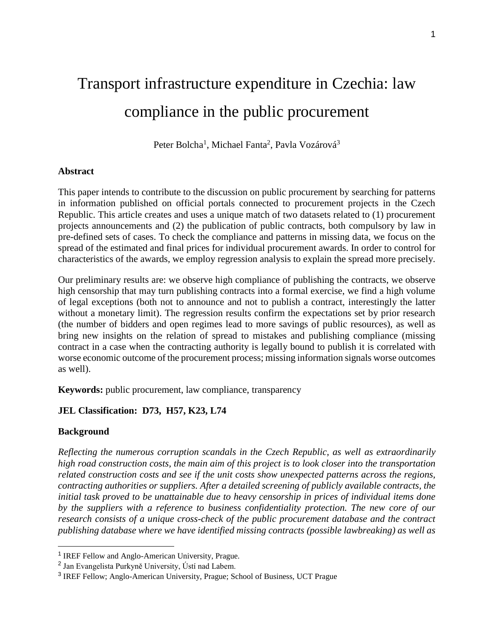# Transport infrastructure expenditure in Czechia: law compliance in the public procurement

Peter Bolcha<sup>1</sup>, Michael Fanta<sup>2</sup>, Pavla Vozárová<sup>3</sup>

#### **Abstract**

This paper intends to contribute to the discussion on public procurement by searching for patterns in information published on official portals connected to procurement projects in the Czech Republic. This article creates and uses a unique match of two datasets related to (1) procurement projects announcements and (2) the publication of public contracts, both compulsory by law in pre-defined sets of cases. To check the compliance and patterns in missing data, we focus on the spread of the estimated and final prices for individual procurement awards. In order to control for characteristics of the awards, we employ regression analysis to explain the spread more precisely.

Our preliminary results are: we observe high compliance of publishing the contracts, we observe high censorship that may turn publishing contracts into a formal exercise, we find a high volume of legal exceptions (both not to announce and not to publish a contract, interestingly the latter without a monetary limit). The regression results confirm the expectations set by prior research (the number of bidders and open regimes lead to more savings of public resources), as well as bring new insights on the relation of spread to mistakes and publishing compliance (missing contract in a case when the contracting authority is legally bound to publish it is correlated with worse economic outcome of the procurement process; missing information signals worse outcomes as well).

**Keywords:** public procurement, law compliance, transparency

## **JEL Classification: D73, H57, K23, L74**

## **Background**

 $\overline{a}$ 

*Reflecting the numerous corruption scandals in the Czech Republic, as well as extraordinarily high road construction costs, the main aim of this project is to look closer into the transportation related construction costs and see if the unit costs show unexpected patterns across the regions, contracting authorities or suppliers. After a detailed screening of publicly available contracts, the initial task proved to be unattainable due to heavy censorship in prices of individual items done by the suppliers with a reference to business confidentiality protection. The new core of our research consists of a unique cross-check of the public procurement database and the contract publishing database where we have identified missing contracts (possible lawbreaking) as well as* 

<sup>&</sup>lt;sup>1</sup> IREF Fellow and Anglo-American University, Prague.

<sup>&</sup>lt;sup>2</sup> Jan Evangelista Purkyně University, Ústí nad Labem.

<sup>&</sup>lt;sup>3</sup> IREF Fellow; Anglo-American University, Prague; School of Business, UCT Prague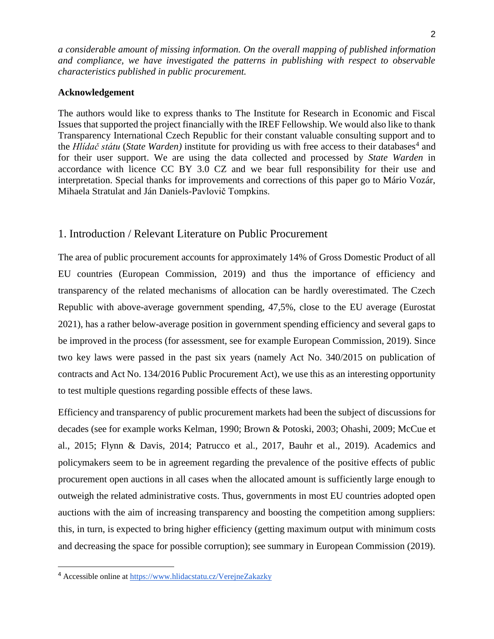*a considerable amount of missing information. On the overall mapping of published information and compliance, we have investigated the patterns in publishing with respect to observable characteristics published in public procurement.* 

#### **Acknowledgement**

The authors would like to express thanks to The Institute for Research in Economic and Fiscal Issues that supported the project financially with the IREF Fellowship. We would also like to thank Transparency International Czech Republic for their constant valuable consulting support and to the *Hlídač státu* (State Warden) institute for providing us with free access to their databases<sup>4</sup> and for their user support. We are using the data collected and processed by *State Warden* in accordance with licence CC BY 3.0 CZ and we bear full responsibility for their use and interpretation. Special thanks for improvements and corrections of this paper go to Mário Vozár, Mihaela Stratulat and Ján Daniels-Pavlovič Tompkins.

# 1. Introduction / Relevant Literature on Public Procurement

The area of public procurement accounts for approximately 14% of Gross Domestic Product of all EU countries (European Commission, 2019) and thus the importance of efficiency and transparency of the related mechanisms of allocation can be hardly overestimated. The Czech Republic with above-average government spending, 47,5%, close to the EU average (Eurostat 2021), has a rather below-average position in government spending efficiency and several gaps to be improved in the process (for assessment, see for example European Commission, 2019). Since two key laws were passed in the past six years (namely Act No. 340/2015 on publication of contracts and Act No. 134/2016 Public Procurement Act), we use this as an interesting opportunity to test multiple questions regarding possible effects of these laws.

Efficiency and transparency of public procurement markets had been the subject of discussions for decades (see for example works Kelman, 1990; Brown & Potoski, 2003; Ohashi, 2009; McCue et al., 2015; Flynn & Davis, 2014; Patrucco et al., 2017, Bauhr et al., 2019). Academics and policymakers seem to be in agreement regarding the prevalence of the positive effects of public procurement open auctions in all cases when the allocated amount is sufficiently large enough to outweigh the related administrative costs. Thus, governments in most EU countries adopted open auctions with the aim of increasing transparency and boosting the competition among suppliers: this, in turn, is expected to bring higher efficiency (getting maximum output with minimum costs and decreasing the space for possible corruption); see summary in European Commission (2019).

<sup>4</sup> Accessible online at<https://www.hlidacstatu.cz/VerejneZakazky>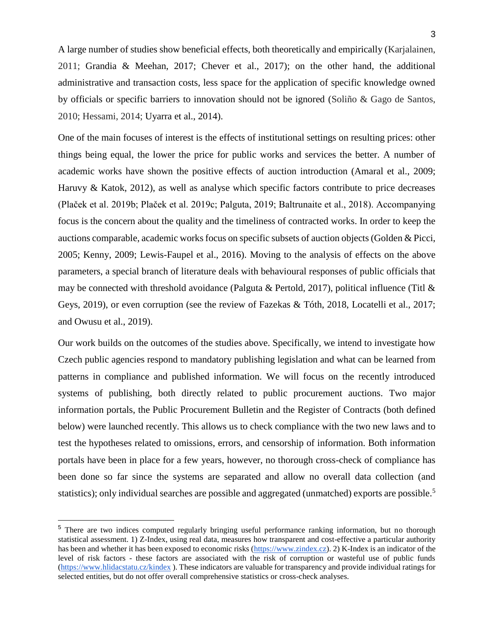A large number of studies show beneficial effects, both theoretically and empirically (Karjalainen, 2011; Grandia & Meehan, 2017; Chever et al., 2017); on the other hand, the additional administrative and transaction costs, less space for the application of specific knowledge owned by officials or specific barriers to innovation should not be ignored (Soliño & Gago de Santos, 2010; Hessami, 2014; Uyarra et al., 2014).

One of the main focuses of interest is the effects of institutional settings on resulting prices: other things being equal, the lower the price for public works and services the better. A number of academic works have shown the positive effects of auction introduction (Amaral et al., 2009; Haruvy & Katok, 2012), as well as analyse which specific factors contribute to price decreases (Plaček et al. 2019b; Plaček et al. 2019c; Palguta, 2019; Baltrunaite et al., 2018). Accompanying focus is the concern about the quality and the timeliness of contracted works. In order to keep the auctions comparable, academic works focus on specific subsets of auction objects (Golden & Picci, 2005; Kenny, 2009; Lewis-Faupel et al., 2016). Moving to the analysis of effects on the above parameters, a special branch of literature deals with behavioural responses of public officials that may be connected with threshold avoidance (Palguta & Pertold, 2017), political influence (Titl & Geys, 2019), or even corruption (see the review of Fazekas & Tóth, 2018, Locatelli et al., 2017; and Owusu et al., 2019).

Our work builds on the outcomes of the studies above. Specifically, we intend to investigate how Czech public agencies respond to mandatory publishing legislation and what can be learned from patterns in compliance and published information. We will focus on the recently introduced systems of publishing, both directly related to public procurement auctions. Two major information portals, the Public Procurement Bulletin and the Register of Contracts (both defined below) were launched recently. This allows us to check compliance with the two new laws and to test the hypotheses related to omissions, errors, and censorship of information. Both information portals have been in place for a few years, however, no thorough cross-check of compliance has been done so far since the systems are separated and allow no overall data collection (and statistics); only individual searches are possible and aggregated (unmatched) exports are possible.<sup>5</sup>

<sup>&</sup>lt;sup>5</sup> There are two indices computed regularly bringing useful performance ranking information, but no thorough statistical assessment. 1) Z-Index, using real data, measures how transparent and cost-effective a particular authority has been and whether it has been exposed to economic risks [\(https://www.zindex.cz\)](https://www.zindex.cz/). 2) K-Index is an indicator of the level of risk factors - these factors are associated with the risk of corruption or wasteful use of public funds [\(https://www.hlidacstatu.cz/kindex](https://www.hlidacstatu.cz/kindex) ). These indicators are valuable for transparency and provide individual ratings for selected entities, but do not offer overall comprehensive statistics or cross-check analyses.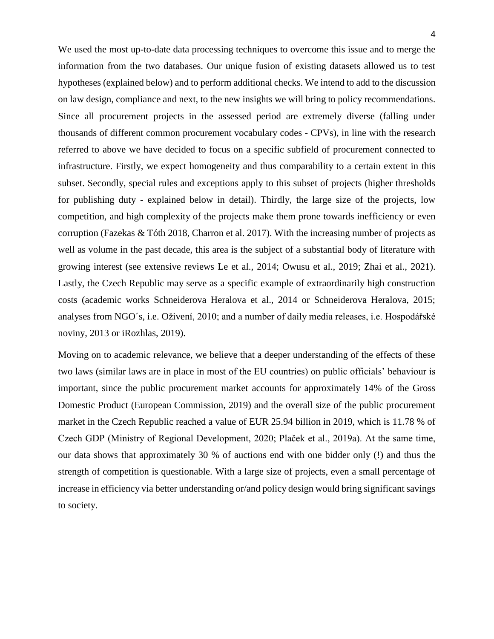We used the most up-to-date data processing techniques to overcome this issue and to merge the information from the two databases. Our unique fusion of existing datasets allowed us to test hypotheses (explained below) and to perform additional checks. We intend to add to the discussion on law design, compliance and next, to the new insights we will bring to policy recommendations. Since all procurement projects in the assessed period are extremely diverse (falling under thousands of different common procurement vocabulary codes - CPVs), in line with the research referred to above we have decided to focus on a specific subfield of procurement connected to infrastructure. Firstly, we expect homogeneity and thus comparability to a certain extent in this subset. Secondly, special rules and exceptions apply to this subset of projects (higher thresholds for publishing duty - explained below in detail). Thirdly, the large size of the projects, low competition, and high complexity of the projects make them prone towards inefficiency or even corruption (Fazekas & Tóth 2018, Charron et al. 2017). With the increasing number of projects as well as volume in the past decade, this area is the subject of a substantial body of literature with growing interest (see extensive reviews Le et al., 2014; Owusu et al., 2019; Zhai et al., 2021). Lastly, the Czech Republic may serve as a specific example of extraordinarily high construction costs (academic works Schneiderova Heralova et al., 2014 or Schneiderova Heralova, 2015; analyses from NGO´s, i.e. Oživení, 2010; and a number of daily media releases, i.e. Hospodářské noviny, 2013 or iRozhlas, 2019).

Moving on to academic relevance, we believe that a deeper understanding of the effects of these two laws (similar laws are in place in most of the EU countries) on public officials' behaviour is important, since the public procurement market accounts for approximately 14% of the Gross Domestic Product (European Commission, 2019) and the overall size of the public procurement market in the Czech Republic reached a value of EUR 25.94 billion in 2019, which is 11.78 % of Czech GDP (Ministry of Regional Development, 2020; Plaček et al., 2019a). At the same time, our data shows that approximately 30 % of auctions end with one bidder only (!) and thus the strength of competition is questionable. With a large size of projects, even a small percentage of increase in efficiency via better understanding or/and policy design would bring significant savings to society.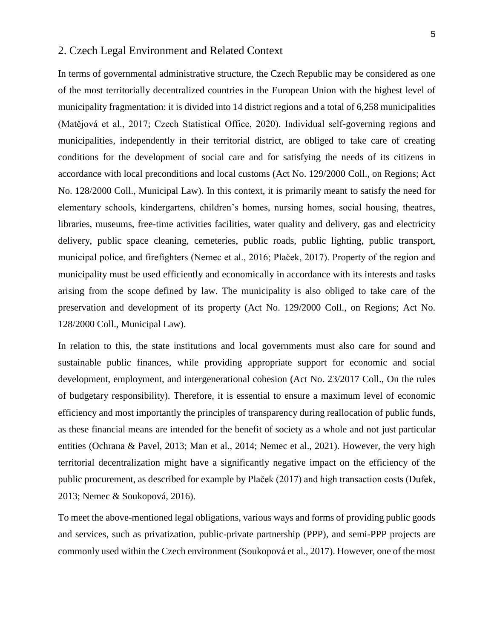## 2. Czech Legal Environment and Related Context

In terms of governmental administrative structure, the Czech Republic may be considered as one of the most territorially decentralized countries in the European Union with the highest level of municipality fragmentation: it is divided into 14 district regions and a total of 6,258 municipalities (Matějová et al., 2017; Czech Statistical Office, 2020). Individual self-governing regions and municipalities, independently in their territorial district, are obliged to take care of creating conditions for the development of social care and for satisfying the needs of its citizens in accordance with local preconditions and local customs (Act No. 129/2000 Coll., on Regions; Act No. 128/2000 Coll., Municipal Law). In this context, it is primarily meant to satisfy the need for elementary schools, kindergartens, children's homes, nursing homes, social housing, theatres, libraries, museums, free-time activities facilities, water quality and delivery, gas and electricity delivery, public space cleaning, cemeteries, public roads, public lighting, public transport, municipal police, and firefighters (Nemec et al., 2016; Plaček, 2017). Property of the region and municipality must be used efficiently and economically in accordance with its interests and tasks arising from the scope defined by law. The municipality is also obliged to take care of the preservation and development of its property (Act No. 129/2000 Coll., on Regions; Act No. 128/2000 Coll., Municipal Law).

In relation to this, the state institutions and local governments must also care for sound and sustainable public finances, while providing appropriate support for economic and social development, employment, and intergenerational cohesion (Act No. 23/2017 Coll., On the rules of budgetary responsibility). Therefore, it is essential to ensure a maximum level of economic efficiency and most importantly the principles of transparency during reallocation of public funds, as these financial means are intended for the benefit of society as a whole and not just particular entities (Ochrana & Pavel, 2013; Man et al., 2014; Nemec et al., 2021). However, the very high territorial decentralization might have a significantly negative impact on the efficiency of the public procurement, as described for example by Plaček (2017) and high transaction costs (Dufek, 2013; Nemec & Soukopová, 2016).

To meet the above-mentioned legal obligations, various ways and forms of providing public goods and services, such as privatization, public-private partnership (PPP), and semi-PPP projects are commonly used within the Czech environment (Soukopová et al., 2017). However, one of the most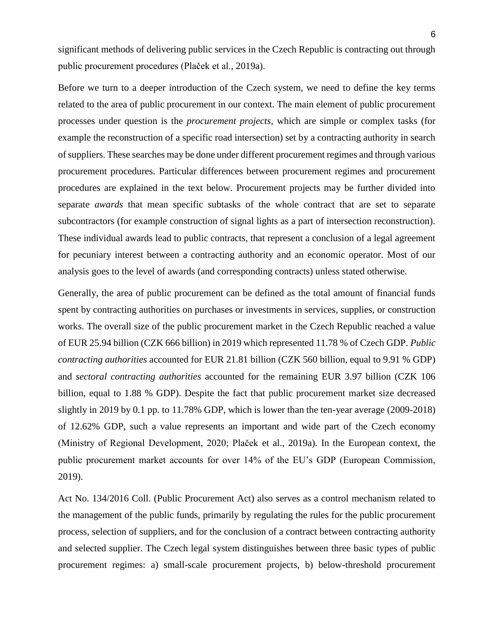significant methods of delivering public services in the Czech Republic is contracting out through public procurement procedures (Plaček et al., 2019a).

Before we turn to a deeper introduction of the Czech system, we need to define the key terms related to the area of public procurement in our context. The main element of public procurement processes under question is the *procurement projects*, which are simple or complex tasks (for example the reconstruction of a specific road intersection) set by a contracting authority in search of suppliers. These searches may be done under different procurement regimes and through various procurement procedures. Particular differences between procurement regimes and procurement procedures are explained in the text below. Procurement projects may be further divided into separate *awards* that mean specific subtasks of the whole contract that are set to separate subcontractors (for example construction of signal lights as a part of intersection reconstruction). These individual awards lead to public contracts, that represent a conclusion of a legal agreement for pecuniary interest between a contracting authority and an economic operator. Most of our analysis goes to the level of awards (and corresponding contracts) unless stated otherwise.

Generally, the area of public procurement can be defined as the total amount of financial funds spent by contracting authorities on purchases or investments in services, supplies, or construction works. The overall size of the public procurement market in the Czech Republic reached a value of EUR 25.94 billion (CZK 666 billion) in 2019 which represented 11.78 % of Czech GDP. *Public contracting authorities* accounted for EUR 21.81 billion (CZK 560 billion, equal to 9.91 % GDP) and *sectoral contracting authorities* accounted for the remaining EUR 3.97 billion (CZK 106 billion, equal to 1.88 % GDP). Despite the fact that public procurement market size decreased slightly in 2019 by 0.1 pp. to 11.78% GDP, which is lower than the ten-year average (2009-2018) of 12.62% GDP, such a value represents an important and wide part of the Czech economy (Ministry of Regional Development, 2020; Plaček et al., 2019a). In the European context, the public procurement market accounts for over 14% of the EU's GDP (European Commission, 2019).

Act No. 134/2016 Coll. (Public Procurement Act) also serves as a control mechanism related to the management of the public funds, primarily by regulating the rules for the public procurement process, selection of suppliers, and for the conclusion of a contract between contracting authority and selected supplier. The Czech legal system distinguishes between three basic types of public procurement regimes: a) small-scale procurement projects, b) below-threshold procurement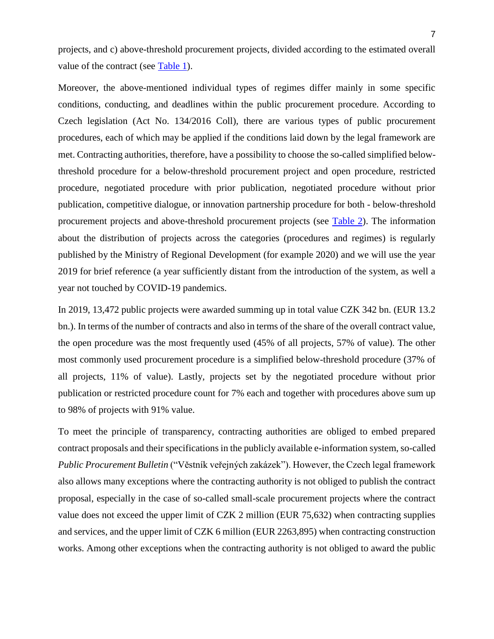projects, and c) above-threshold procurement projects, divided according to the estimated overall value of the contract (see [Table 1\)](#page-32-0).

Moreover, the above-mentioned individual types of regimes differ mainly in some specific conditions, conducting, and deadlines within the public procurement procedure. According to Czech legislation (Act No. 134/2016 Coll), there are various types of public procurement procedures, each of which may be applied if the conditions laid down by the legal framework are met. Contracting authorities, therefore, have a possibility to choose the so-called simplified belowthreshold procedure for a below-threshold procurement project and open procedure, restricted procedure, negotiated procedure with prior publication, negotiated procedure without prior publication, competitive dialogue, or innovation partnership procedure for both - below-threshold procurement projects and above-threshold procurement projects (see [Table 2\)](#page-33-0). The information about the distribution of projects across the categories (procedures and regimes) is regularly published by the Ministry of Regional Development (for example 2020) and we will use the year 2019 for brief reference (a year sufficiently distant from the introduction of the system, as well a year not touched by COVID-19 pandemics.

In 2019, 13,472 public projects were awarded summing up in total value CZK 342 bn. (EUR 13.2 bn.). In terms of the number of contracts and also in terms of the share of the overall contract value, the open procedure was the most frequently used (45% of all projects, 57% of value). The other most commonly used procurement procedure is a simplified below-threshold procedure (37% of all projects, 11% of value). Lastly, projects set by the negotiated procedure without prior publication or restricted procedure count for 7% each and together with procedures above sum up to 98% of projects with 91% value.

To meet the principle of transparency, contracting authorities are obliged to embed prepared contract proposals and their specifications in the publicly available e-information system, so-called *Public Procurement Bulletin* ("Věstník veřejných zakázek"). However, the Czech legal framework also allows many exceptions where the contracting authority is not obliged to publish the contract proposal, especially in the case of so-called small-scale procurement projects where the contract value does not exceed the upper limit of CZK 2 million (EUR 75,632) when contracting supplies and services, and the upper limit of CZK 6 million (EUR 2263,895) when contracting construction works. Among other exceptions when the contracting authority is not obliged to award the public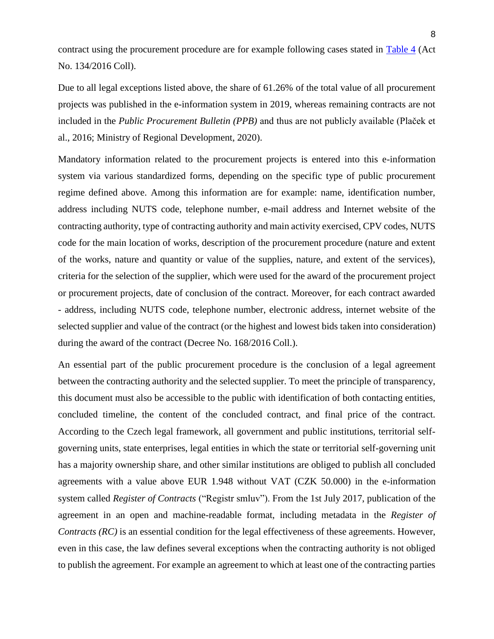contract using the procurement procedure are for example following cases stated in [Table 4](#page-35-0) (Act No. 134/2016 Coll).

Due to all legal exceptions listed above, the share of 61.26% of the total value of all procurement projects was published in the e-information system in 2019, whereas remaining contracts are not included in the *Public Procurement Bulletin (PPB)* and thus are not publicly available (Plaček et al., 2016; Ministry of Regional Development, 2020).

Mandatory information related to the procurement projects is entered into this e-information system via various standardized forms, depending on the specific type of public procurement regime defined above. Among this information are for example: name, identification number, address including NUTS code, telephone number, e-mail address and Internet website of the contracting authority, type of contracting authority and main activity exercised, CPV codes, NUTS code for the main location of works, description of the procurement procedure (nature and extent of the works, nature and quantity or value of the supplies, nature, and extent of the services), criteria for the selection of the supplier, which were used for the award of the procurement project or procurement projects, date of conclusion of the contract. Moreover, for each contract awarded - address, including NUTS code, telephone number, electronic address, internet website of the selected supplier and value of the contract (or the highest and lowest bids taken into consideration) during the award of the contract (Decree No. 168/2016 Coll.).

An essential part of the public procurement procedure is the conclusion of a legal agreement between the contracting authority and the selected supplier. To meet the principle of transparency, this document must also be accessible to the public with identification of both contacting entities, concluded timeline, the content of the concluded contract, and final price of the contract. According to the Czech legal framework, all government and public institutions, territorial selfgoverning units, state enterprises, legal entities in which the state or territorial self-governing unit has a majority ownership share, and other similar institutions are obliged to publish all concluded agreements with a value above EUR 1.948 without VAT (CZK 50.000) in the e-information system called *Register of Contracts* ("Registr smluv"). From the 1st July 2017, publication of the agreement in an open and machine-readable format, including metadata in the *Register of Contracts (RC)* is an essential condition for the legal effectiveness of these agreements. However, even in this case, the law defines several exceptions when the contracting authority is not obliged to publish the agreement. For example an agreement to which at least one of the contracting parties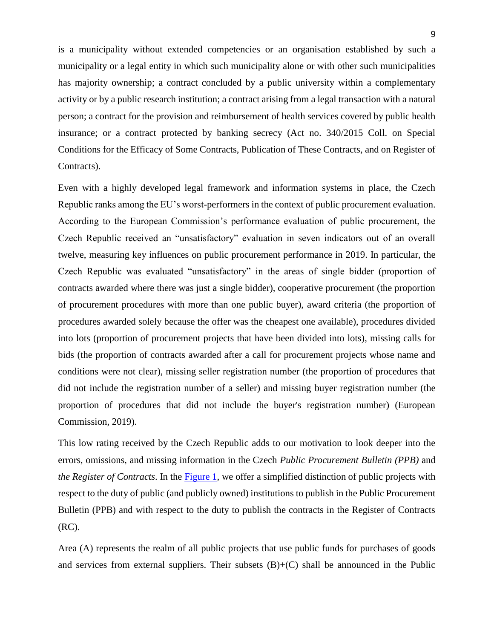is a municipality without extended competencies or an organisation established by such a municipality or a legal entity in which such municipality alone or with other such municipalities has majority ownership; a contract concluded by a public university within a complementary activity or by a public research institution; a contract arising from a legal transaction with a natural person; a contract for the provision and reimbursement of health services covered by public health insurance; or a contract protected by banking secrecy (Act no. 340/2015 Coll. on Special Conditions for the Efficacy of Some Contracts, Publication of These Contracts, and on Register of Contracts).

Even with a highly developed legal framework and information systems in place, the Czech Republic ranks among the EU's worst-performers in the context of public procurement evaluation. According to the European Commission's performance evaluation of public procurement, the Czech Republic received an "unsatisfactory" evaluation in seven indicators out of an overall twelve, measuring key influences on public procurement performance in 2019. In particular, the Czech Republic was evaluated "unsatisfactory" in the areas of single bidder (proportion of contracts awarded where there was just a single bidder), cooperative procurement (the proportion of procurement procedures with more than one public buyer), award criteria (the proportion of procedures awarded solely because the offer was the cheapest one available), procedures divided into lots (proportion of procurement projects that have been divided into lots), missing calls for bids (the proportion of contracts awarded after a call for procurement projects whose name and conditions were not clear), missing seller registration number (the proportion of procedures that did not include the registration number of a seller) and missing buyer registration number (the proportion of procedures that did not include the buyer's registration number) (European Commission, 2019).

This low rating received by the Czech Republic adds to our motivation to look deeper into the errors, omissions, and missing information in the Czech *Public Procurement Bulletin (PPB)* and *the Register of Contracts*. In the [Figure 1,](#page-43-0) we offer a simplified distinction of public projects with respect to the duty of public (and publicly owned) institutions to publish in the Public Procurement Bulletin (PPB) and with respect to the duty to publish the contracts in the Register of Contracts (RC).

Area (A) represents the realm of all public projects that use public funds for purchases of goods and services from external suppliers. Their subsets  $(B)+(C)$  shall be announced in the Public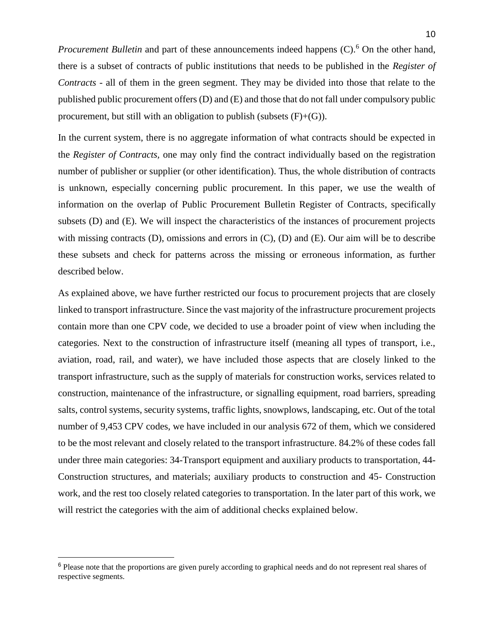*Procurement Bulletin* and part of these announcements indeed happens (C).<sup>6</sup> On the other hand, there is a subset of contracts of public institutions that needs to be published in the *Register of Contracts* - all of them in the green segment. They may be divided into those that relate to the published public procurement offers (D) and (E) and those that do not fall under compulsory public procurement, but still with an obligation to publish (subsets  $(F)+(G)$ ).

In the current system, there is no aggregate information of what contracts should be expected in the *Register of Contracts,* one may only find the contract individually based on the registration number of publisher or supplier (or other identification). Thus, the whole distribution of contracts is unknown, especially concerning public procurement. In this paper, we use the wealth of information on the overlap of Public Procurement Bulletin Register of Contracts, specifically subsets (D) and (E). We will inspect the characteristics of the instances of procurement projects with missing contracts (D), omissions and errors in (C), (D) and (E). Our aim will be to describe these subsets and check for patterns across the missing or erroneous information, as further described below.

As explained above, we have further restricted our focus to procurement projects that are closely linked to transport infrastructure. Since the vast majority of the infrastructure procurement projects contain more than one CPV code, we decided to use a broader point of view when including the categories. Next to the construction of infrastructure itself (meaning all types of transport, i.e., aviation, road, rail, and water), we have included those aspects that are closely linked to the transport infrastructure, such as the supply of materials for construction works, services related to construction, maintenance of the infrastructure, or signalling equipment, road barriers, spreading salts, control systems, security systems, traffic lights, snowplows, landscaping, etc. Out of the total number of 9,453 CPV codes, we have included in our analysis 672 of them, which we considered to be the most relevant and closely related to the transport infrastructure. 84.2% of these codes fall under three main categories: 34-Transport equipment and auxiliary products to transportation, 44- Construction structures, and materials; auxiliary products to construction and 45- Construction work, and the rest too closely related categories to transportation. In the later part of this work, we will restrict the categories with the aim of additional checks explained below.

 $\overline{a}$ 

<sup>6</sup> Please note that the proportions are given purely according to graphical needs and do not represent real shares of respective segments.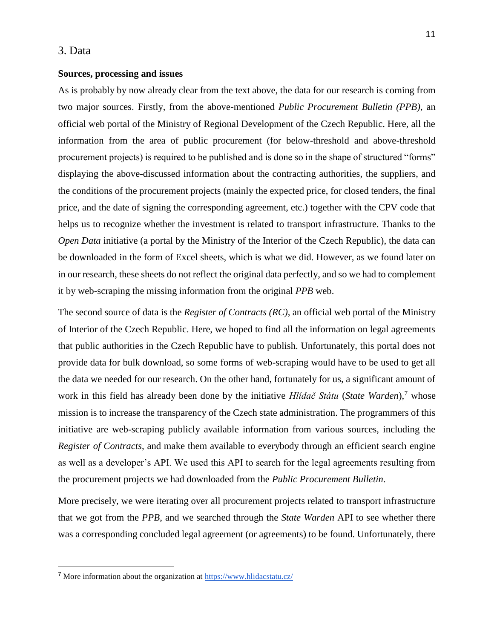## 3. Data

#### **Sources, processing and issues**

As is probably by now already clear from the text above, the data for our research is coming from two major sources. Firstly, from the above-mentioned *Public Procurement Bulletin (PPB)*, an official web portal of the Ministry of Regional Development of the Czech Republic. Here, all the information from the area of public procurement (for below-threshold and above-threshold procurement projects) is required to be published and is done so in the shape of structured "forms" displaying the above-discussed information about the contracting authorities, the suppliers, and the conditions of the procurement projects (mainly the expected price, for closed tenders, the final price, and the date of signing the corresponding agreement, etc.) together with the CPV code that helps us to recognize whether the investment is related to transport infrastructure. Thanks to the *Open Data* initiative (a portal by the Ministry of the Interior of the Czech Republic), the data can be downloaded in the form of Excel sheets, which is what we did. However, as we found later on in our research, these sheets do not reflect the original data perfectly, and so we had to complement it by web-scraping the missing information from the original *PPB* web.

The second source of data is the *Register of Contracts (RC)*, an official web portal of the Ministry of Interior of the Czech Republic. Here, we hoped to find all the information on legal agreements that public authorities in the Czech Republic have to publish. Unfortunately, this portal does not provide data for bulk download, so some forms of web-scraping would have to be used to get all the data we needed for our research. On the other hand, fortunately for us, a significant amount of work in this field has already been done by the initiative *Hlidač Státu* (*State Warden*),<sup>7</sup> whose mission is to increase the transparency of the Czech state administration. The programmers of this initiative are web-scraping publicly available information from various sources, including the *Register of Contracts*, and make them available to everybody through an efficient search engine as well as a developer's API. We used this API to search for the legal agreements resulting from the procurement projects we had downloaded from the *Public Procurement Bulletin*.

More precisely, we were iterating over all procurement projects related to transport infrastructure that we got from the *PPB*, and we searched through the *State Warden* API to see whether there was a corresponding concluded legal agreement (or agreements) to be found. Unfortunately, there

<sup>7</sup> More information about the organization at<https://www.hlidacstatu.cz/>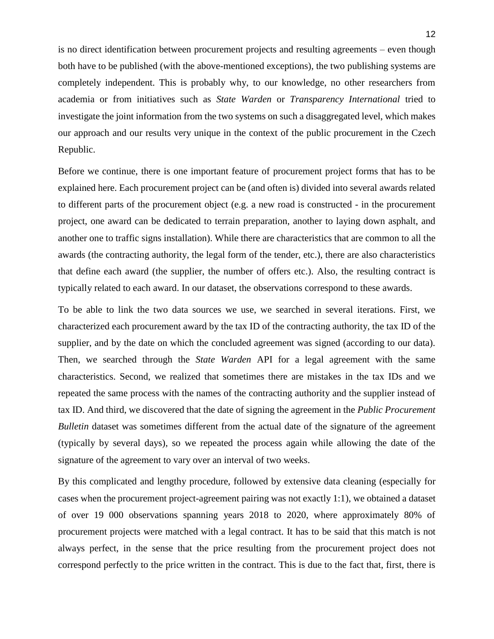is no direct identification between procurement projects and resulting agreements – even though both have to be published (with the above-mentioned exceptions), the two publishing systems are completely independent. This is probably why, to our knowledge, no other researchers from academia or from initiatives such as *State Warden* or *Transparency International* tried to investigate the joint information from the two systems on such a disaggregated level, which makes our approach and our results very unique in the context of the public procurement in the Czech Republic.

Before we continue, there is one important feature of procurement project forms that has to be explained here. Each procurement project can be (and often is) divided into several awards related to different parts of the procurement object (e.g. a new road is constructed - in the procurement project, one award can be dedicated to terrain preparation, another to laying down asphalt, and another one to traffic signs installation). While there are characteristics that are common to all the awards (the contracting authority, the legal form of the tender, etc.), there are also characteristics that define each award (the supplier, the number of offers etc.). Also, the resulting contract is typically related to each award. In our dataset, the observations correspond to these awards.

To be able to link the two data sources we use, we searched in several iterations. First, we characterized each procurement award by the tax ID of the contracting authority, the tax ID of the supplier, and by the date on which the concluded agreement was signed (according to our data). Then, we searched through the *State Warden* API for a legal agreement with the same characteristics. Second, we realized that sometimes there are mistakes in the tax IDs and we repeated the same process with the names of the contracting authority and the supplier instead of tax ID. And third, we discovered that the date of signing the agreement in the *Public Procurement Bulletin* dataset was sometimes different from the actual date of the signature of the agreement (typically by several days), so we repeated the process again while allowing the date of the signature of the agreement to vary over an interval of two weeks.

By this complicated and lengthy procedure, followed by extensive data cleaning (especially for cases when the procurement project-agreement pairing was not exactly 1:1), we obtained a dataset of over 19 000 observations spanning years 2018 to 2020, where approximately 80% of procurement projects were matched with a legal contract. It has to be said that this match is not always perfect, in the sense that the price resulting from the procurement project does not correspond perfectly to the price written in the contract. This is due to the fact that, first, there is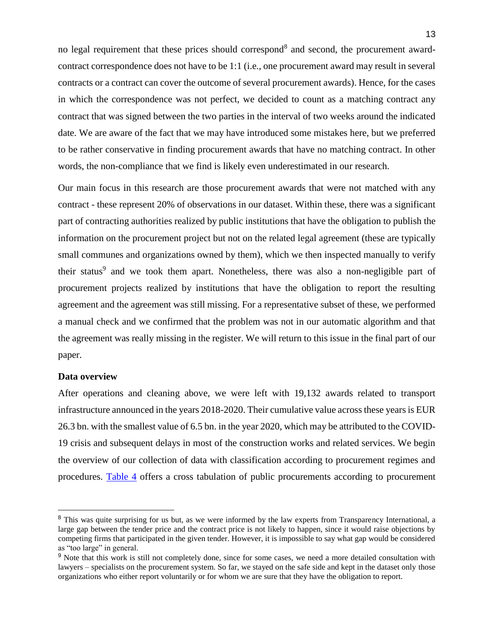no legal requirement that these prices should correspond<sup>8</sup> and second, the procurement awardcontract correspondence does not have to be 1:1 (i.e., one procurement award may result in several contracts or a contract can cover the outcome of several procurement awards). Hence, for the cases in which the correspondence was not perfect, we decided to count as a matching contract any contract that was signed between the two parties in the interval of two weeks around the indicated date. We are aware of the fact that we may have introduced some mistakes here, but we preferred to be rather conservative in finding procurement awards that have no matching contract. In other words, the non-compliance that we find is likely even underestimated in our research.

Our main focus in this research are those procurement awards that were not matched with any contract - these represent 20% of observations in our dataset. Within these, there was a significant part of contracting authorities realized by public institutions that have the obligation to publish the information on the procurement project but not on the related legal agreement (these are typically small communes and organizations owned by them), which we then inspected manually to verify their status<sup>9</sup> and we took them apart. Nonetheless, there was also a non-negligible part of procurement projects realized by institutions that have the obligation to report the resulting agreement and the agreement was still missing. For a representative subset of these, we performed a manual check and we confirmed that the problem was not in our automatic algorithm and that the agreement was really missing in the register. We will return to this issue in the final part of our paper.

#### **Data overview**

After operations and cleaning above, we were left with 19,132 awards related to transport infrastructure announced in the years 2018-2020. Their cumulative value across these years is EUR 26.3 bn. with the smallest value of 6.5 bn. in the year 2020, which may be attributed to the COVID-19 crisis and subsequent delays in most of the construction works and related services. We begin the overview of our collection of data with classification according to procurement regimes and procedures. [Table 4](#page-35-0) offers a cross tabulation of public procurements according to procurement

<sup>&</sup>lt;sup>8</sup> This was quite surprising for us but, as we were informed by the law experts from Transparency International, a large gap between the tender price and the contract price is not likely to happen, since it would raise objections by competing firms that participated in the given tender. However, it is impossible to say what gap would be considered as "too large" in general.

<sup>&</sup>lt;sup>9</sup> Note that this work is still not completely done, since for some cases, we need a more detailed consultation with lawyers – specialists on the procurement system. So far, we stayed on the safe side and kept in the dataset only those organizations who either report voluntarily or for whom we are sure that they have the obligation to report.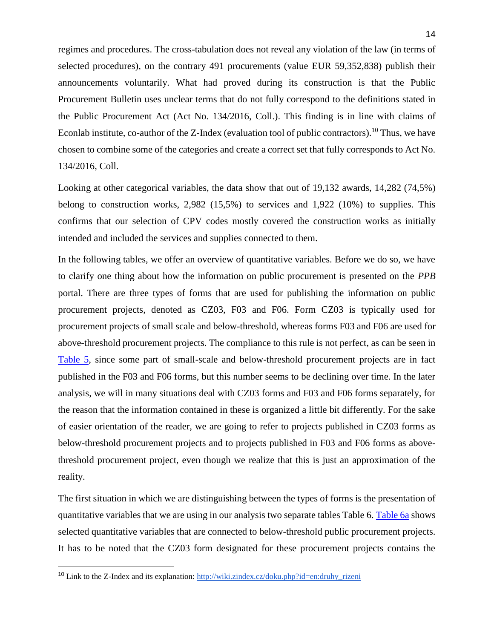regimes and procedures. The cross-tabulation does not reveal any violation of the law (in terms of selected procedures), on the contrary 491 procurements (value EUR 59,352,838) publish their announcements voluntarily. What had proved during its construction is that the Public Procurement Bulletin uses unclear terms that do not fully correspond to the definitions stated in the Public Procurement Act (Act No. 134/2016, Coll.). This finding is in line with claims of Econlab institute, co-author of the Z-Index (evaluation tool of public contractors).<sup>10</sup> Thus, we have chosen to combine some of the categories and create a correct set that fully corresponds to Act No. 134/2016, Coll.

Looking at other categorical variables, the data show that out of 19,132 awards, 14,282 (74,5%) belong to construction works, 2,982 (15,5%) to services and 1,922 (10%) to supplies. This confirms that our selection of CPV codes mostly covered the construction works as initially intended and included the services and supplies connected to them.

In the following tables, we offer an overview of quantitative variables. Before we do so, we have to clarify one thing about how the information on public procurement is presented on the *PPB* portal. There are three types of forms that are used for publishing the information on public procurement projects, denoted as CZ03, F03 and F06. Form CZ03 is typically used for procurement projects of small scale and below-threshold, whereas forms F03 and F06 are used for above-threshold procurement projects. The compliance to this rule is not perfect, as can be seen in [Table 5,](#page-36-0) since some part of small-scale and below-threshold procurement projects are in fact published in the F03 and F06 forms, but this number seems to be declining over time. In the later analysis, we will in many situations deal with CZ03 forms and F03 and F06 forms separately, for the reason that the information contained in these is organized a little bit differently. For the sake of easier orientation of the reader, we are going to refer to projects published in CZ03 forms as below-threshold procurement projects and to projects published in F03 and F06 forms as abovethreshold procurement project, even though we realize that this is just an approximation of the reality.

The first situation in which we are distinguishing between the types of forms is the presentation of quantitative variables that we are using in our analysis two separate tables Table 6. [Table 6a](#page-36-1) shows selected quantitative variables that are connected to below-threshold public procurement projects. It has to be noted that the CZ03 form designated for these procurement projects contains the

<sup>&</sup>lt;sup>10</sup> Link to the Z-Index and its explanation: http://wiki.zindex.cz/doku.php?id=en:druhy\_rizeni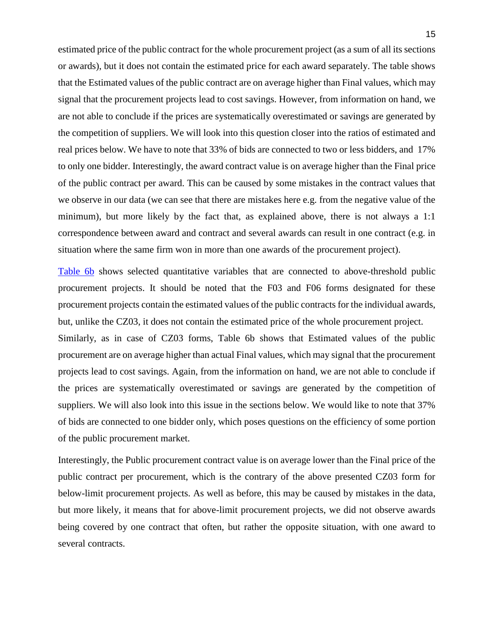estimated price of the public contract for the whole procurement project (as a sum of all its sections or awards), but it does not contain the estimated price for each award separately. The table shows that the Estimated values of the public contract are on average higher than Final values, which may signal that the procurement projects lead to cost savings. However, from information on hand, we are not able to conclude if the prices are systematically overestimated or savings are generated by the competition of suppliers. We will look into this question closer into the ratios of estimated and real prices below. We have to note that 33% of bids are connected to two or less bidders, and 17% to only one bidder. Interestingly, the award contract value is on average higher than the Final price of the public contract per award. This can be caused by some mistakes in the contract values that we observe in our data (we can see that there are mistakes here e.g. from the negative value of the minimum), but more likely by the fact that, as explained above, there is not always a 1:1 correspondence between award and contract and several awards can result in one contract (e.g. in situation where the same firm won in more than one awards of the procurement project).

[Table 6b](#page-37-0) shows selected quantitative variables that are connected to above-threshold public procurement projects. It should be noted that the F03 and F06 forms designated for these procurement projects contain the estimated values of the public contracts for the individual awards, but, unlike the CZ03, it does not contain the estimated price of the whole procurement project. Similarly, as in case of CZ03 forms, Table 6b shows that Estimated values of the public

procurement are on average higher than actual Final values, which may signal that the procurement projects lead to cost savings. Again, from the information on hand, we are not able to conclude if the prices are systematically overestimated or savings are generated by the competition of suppliers. We will also look into this issue in the sections below. We would like to note that 37% of bids are connected to one bidder only, which poses questions on the efficiency of some portion of the public procurement market.

Interestingly, the Public procurement contract value is on average lower than the Final price of the public contract per procurement, which is the contrary of the above presented CZ03 form for below-limit procurement projects. As well as before, this may be caused by mistakes in the data, but more likely, it means that for above-limit procurement projects, we did not observe awards being covered by one contract that often, but rather the opposite situation, with one award to several contracts.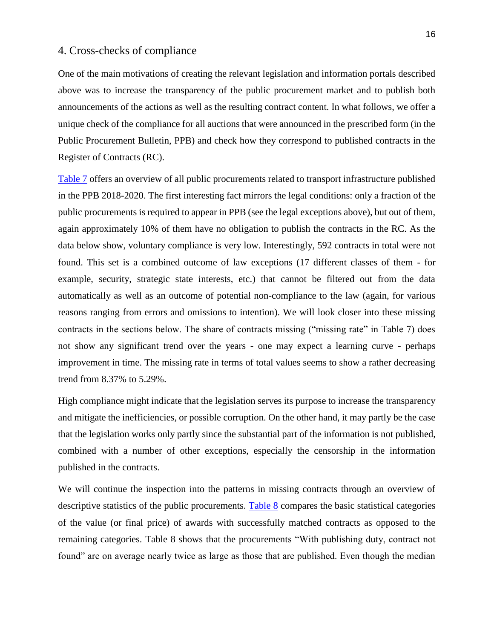# 4. Cross-checks of compliance

One of the main motivations of creating the relevant legislation and information portals described above was to increase the transparency of the public procurement market and to publish both announcements of the actions as well as the resulting contract content. In what follows, we offer a unique check of the compliance for all auctions that were announced in the prescribed form (in the Public Procurement Bulletin, PPB) and check how they correspond to published contracts in the Register of Contracts (RC).

[Table 7](#page-37-1) offers an overview of all public procurements related to transport infrastructure published in the PPB 2018-2020. The first interesting fact mirrors the legal conditions: only a fraction of the public procurements is required to appear in PPB (see the legal exceptions above), but out of them, again approximately 10% of them have no obligation to publish the contracts in the RC. As the data below show, voluntary compliance is very low. Interestingly, 592 contracts in total were not found. This set is a combined outcome of law exceptions (17 different classes of them - for example, security, strategic state interests, etc.) that cannot be filtered out from the data automatically as well as an outcome of potential non-compliance to the law (again, for various reasons ranging from errors and omissions to intention). We will look closer into these missing contracts in the sections below. The share of contracts missing ("missing rate" in Table 7) does not show any significant trend over the years - one may expect a learning curve - perhaps improvement in time. The missing rate in terms of total values seems to show a rather decreasing trend from 8.37% to 5.29%.

High compliance might indicate that the legislation serves its purpose to increase the transparency and mitigate the inefficiencies, or possible corruption. On the other hand, it may partly be the case that the legislation works only partly since the substantial part of the information is not published, combined with a number of other exceptions, especially the censorship in the information published in the contracts.

We will continue the inspection into the patterns in missing contracts through an overview of descriptive statistics of the public procurements. [Table 8](#page-38-0) compares the basic statistical categories of the value (or final price) of awards with successfully matched contracts as opposed to the remaining categories. Table 8 shows that the procurements "With publishing duty, contract not found" are on average nearly twice as large as those that are published. Even though the median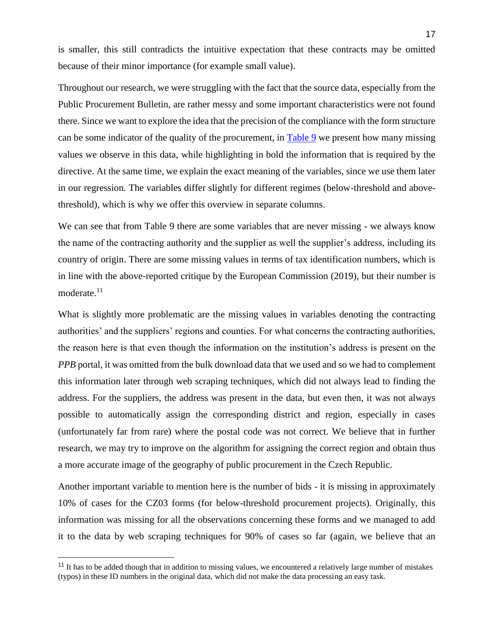is smaller, this still contradicts the intuitive expectation that these contracts may be omitted because of their minor importance (for example small value).

Throughout our research, we were struggling with the fact that the source data, especially from the Public Procurement Bulletin, are rather messy and some important characteristics were not found there. Since we want to explore the idea that the precision of the compliance with the form structure can be some indicator of the quality of the procurement, in [Table 9](#page-38-1) we present how many missing values we observe in this data, while highlighting in bold the information that is required by the directive. At the same time, we explain the exact meaning of the variables, since we use them later in our regression. The variables differ slightly for different regimes (below-threshold and abovethreshold), which is why we offer this overview in separate columns.

We can see that from Table 9 there are some variables that are never missing - we always know the name of the contracting authority and the supplier as well the supplier's address, including its country of origin. There are some missing values in terms of tax identification numbers, which is in line with the above-reported critique by the European Commission (2019), but their number is moderate. $11$ 

What is slightly more problematic are the missing values in variables denoting the contracting authorities' and the suppliers' regions and counties. For what concerns the contracting authorities, the reason here is that even though the information on the institution's address is present on the *PPB* portal, it was omitted from the bulk download data that we used and so we had to complement this information later through web scraping techniques, which did not always lead to finding the address. For the suppliers, the address was present in the data, but even then, it was not always possible to automatically assign the corresponding district and region, especially in cases (unfortunately far from rare) where the postal code was not correct. We believe that in further research, we may try to improve on the algorithm for assigning the correct region and obtain thus a more accurate image of the geography of public procurement in the Czech Republic.

Another important variable to mention here is the number of bids - it is missing in approximately 10% of cases for the CZ03 forms (for below-threshold procurement projects). Originally, this information was missing for all the observations concerning these forms and we managed to add it to the data by web scraping techniques for 90% of cases so far (again, we believe that an

 $\overline{a}$ 

 $11$  It has to be added though that in addition to missing values, we encountered a relatively large number of mistakes (typos) in these ID numbers in the original data, which did not make the data processing an easy task.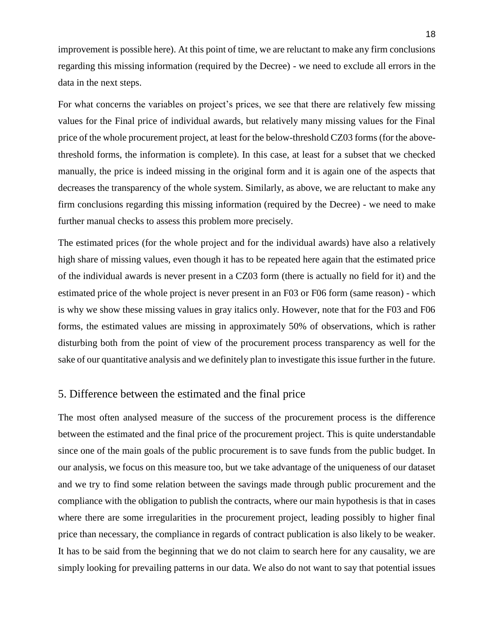improvement is possible here). At this point of time, we are reluctant to make any firm conclusions regarding this missing information (required by the Decree) - we need to exclude all errors in the data in the next steps.

For what concerns the variables on project's prices, we see that there are relatively few missing values for the Final price of individual awards, but relatively many missing values for the Final price of the whole procurement project, at least for the below-threshold CZ03 forms (for the abovethreshold forms, the information is complete). In this case, at least for a subset that we checked manually, the price is indeed missing in the original form and it is again one of the aspects that decreases the transparency of the whole system. Similarly, as above, we are reluctant to make any firm conclusions regarding this missing information (required by the Decree) - we need to make further manual checks to assess this problem more precisely.

The estimated prices (for the whole project and for the individual awards) have also a relatively high share of missing values, even though it has to be repeated here again that the estimated price of the individual awards is never present in a CZ03 form (there is actually no field for it) and the estimated price of the whole project is never present in an F03 or F06 form (same reason) - which is why we show these missing values in gray italics only. However, note that for the F03 and F06 forms, the estimated values are missing in approximately 50% of observations, which is rather disturbing both from the point of view of the procurement process transparency as well for the sake of our quantitative analysis and we definitely plan to investigate this issue further in the future.

#### 5. Difference between the estimated and the final price

The most often analysed measure of the success of the procurement process is the difference between the estimated and the final price of the procurement project. This is quite understandable since one of the main goals of the public procurement is to save funds from the public budget. In our analysis, we focus on this measure too, but we take advantage of the uniqueness of our dataset and we try to find some relation between the savings made through public procurement and the compliance with the obligation to publish the contracts, where our main hypothesis is that in cases where there are some irregularities in the procurement project, leading possibly to higher final price than necessary, the compliance in regards of contract publication is also likely to be weaker. It has to be said from the beginning that we do not claim to search here for any causality, we are simply looking for prevailing patterns in our data. We also do not want to say that potential issues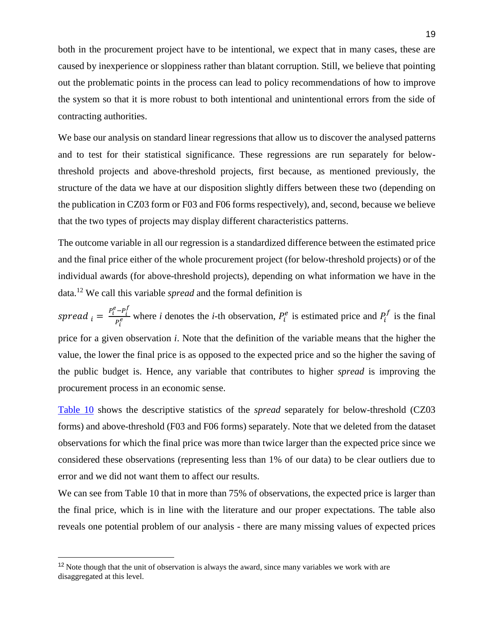both in the procurement project have to be intentional, we expect that in many cases, these are caused by inexperience or sloppiness rather than blatant corruption. Still, we believe that pointing out the problematic points in the process can lead to policy recommendations of how to improve the system so that it is more robust to both intentional and unintentional errors from the side of contracting authorities.

We base our analysis on standard linear regressions that allow us to discover the analysed patterns and to test for their statistical significance. These regressions are run separately for belowthreshold projects and above-threshold projects, first because, as mentioned previously, the structure of the data we have at our disposition slightly differs between these two (depending on the publication in CZ03 form or F03 and F06 forms respectively), and, second, because we believe that the two types of projects may display different characteristics patterns.

The outcome variable in all our regression is a standardized difference between the estimated price and the final price either of the whole procurement project (for below-threshold projects) or of the individual awards (for above-threshold projects), depending on what information we have in the data.<sup>12</sup> We call this variable *spread* and the formal definition is

spread  $_i = \frac{P_i^e - P_i^f}{P_i^e}$  $\frac{p_i - p_i}{p_i}$  where *i* denotes the *i*-th observation,  $P_i^e$  is estimated price and  $P_i^f$  is the final price for a given observation *i*. Note that the definition of the variable means that the higher the value, the lower the final price is as opposed to the expected price and so the higher the saving of the public budget is. Hence, any variable that contributes to higher *spread* is improving the procurement process in an economic sense.

[Table 10](#page-39-0) shows the descriptive statistics of the *spread* separately for below-threshold (CZ03 forms) and above-threshold (F03 and F06 forms) separately. Note that we deleted from the dataset observations for which the final price was more than twice larger than the expected price since we considered these observations (representing less than 1% of our data) to be clear outliers due to error and we did not want them to affect our results.

We can see from Table 10 that in more than 75% of observations, the expected price is larger than the final price, which is in line with the literature and our proper expectations. The table also reveals one potential problem of our analysis - there are many missing values of expected prices

 $\overline{a}$ 

<sup>&</sup>lt;sup>12</sup> Note though that the unit of observation is always the award, since many variables we work with are disaggregated at this level.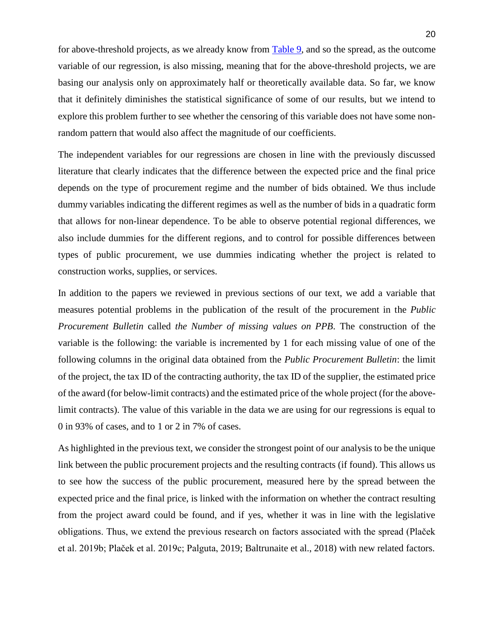for above-threshold projects, as we already know from [Table 9,](#page-38-1) and so the spread, as the outcome variable of our regression, is also missing, meaning that for the above-threshold projects, we are basing our analysis only on approximately half or theoretically available data. So far, we know that it definitely diminishes the statistical significance of some of our results, but we intend to explore this problem further to see whether the censoring of this variable does not have some nonrandom pattern that would also affect the magnitude of our coefficients.

The independent variables for our regressions are chosen in line with the previously discussed literature that clearly indicates that the difference between the expected price and the final price depends on the type of procurement regime and the number of bids obtained. We thus include dummy variables indicating the different regimes as well as the number of bids in a quadratic form that allows for non-linear dependence. To be able to observe potential regional differences, we also include dummies for the different regions, and to control for possible differences between types of public procurement, we use dummies indicating whether the project is related to construction works, supplies, or services.

In addition to the papers we reviewed in previous sections of our text, we add a variable that measures potential problems in the publication of the result of the procurement in the *Public Procurement Bulletin* called *the Number of missing values on PPB*. The construction of the variable is the following: the variable is incremented by 1 for each missing value of one of the following columns in the original data obtained from the *Public Procurement Bulletin*: the limit of the project, the tax ID of the contracting authority, the tax ID of the supplier, the estimated price of the award (for below-limit contracts) and the estimated price of the whole project (for the abovelimit contracts). The value of this variable in the data we are using for our regressions is equal to 0 in 93% of cases, and to 1 or 2 in 7% of cases.

As highlighted in the previous text, we consider the strongest point of our analysis to be the unique link between the public procurement projects and the resulting contracts (if found). This allows us to see how the success of the public procurement, measured here by the spread between the expected price and the final price, is linked with the information on whether the contract resulting from the project award could be found, and if yes, whether it was in line with the legislative obligations. Thus, we extend the previous research on factors associated with the spread (Plaček et al. 2019b; Plaček et al. 2019c; Palguta, 2019; Baltrunaite et al., 2018) with new related factors.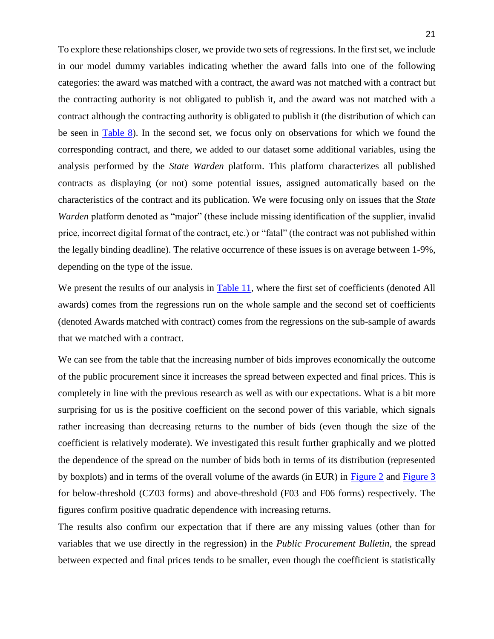To explore these relationships closer, we provide two sets of regressions. In the first set, we include in our model dummy variables indicating whether the award falls into one of the following categories: the award was matched with a contract, the award was not matched with a contract but the contracting authority is not obligated to publish it, and the award was not matched with a contract although the contracting authority is obligated to publish it (the distribution of which can be seen in **Table 8**). In the second set, we focus only on observations for which we found the corresponding contract, and there, we added to our dataset some additional variables, using the analysis performed by the *State Warden* platform. This platform characterizes all published contracts as displaying (or not) some potential issues, assigned automatically based on the characteristics of the contract and its publication. We were focusing only on issues that the *State Warden* platform denoted as "major" (these include missing identification of the supplier, invalid price, incorrect digital format of the contract, etc.) or "fatal" (the contract was not published within the legally binding deadline). The relative occurrence of these issues is on average between 1-9%, depending on the type of the issue.

We present the results of our analysis in [Table 11,](#page-40-0) where the first set of coefficients (denoted All awards) comes from the regressions run on the whole sample and the second set of coefficients (denoted Awards matched with contract) comes from the regressions on the sub-sample of awards that we matched with a contract.

We can see from the table that the increasing number of bids improves economically the outcome of the public procurement since it increases the spread between expected and final prices. This is completely in line with the previous research as well as with our expectations. What is a bit more surprising for us is the positive coefficient on the second power of this variable, which signals rather increasing than decreasing returns to the number of bids (even though the size of the coefficient is relatively moderate). We investigated this result further graphically and we plotted the dependence of the spread on the number of bids both in terms of its distribution (represented by boxplots) and in terms of the overall volume of the awards (in EUR) in [Figure 2](#page-44-0) and [Figure 3](#page-44-1) for below-threshold (CZ03 forms) and above-threshold (F03 and F06 forms) respectively. The figures confirm positive quadratic dependence with increasing returns.

The results also confirm our expectation that if there are any missing values (other than for variables that we use directly in the regression) in the *Public Procurement Bulletin*, the spread between expected and final prices tends to be smaller, even though the coefficient is statistically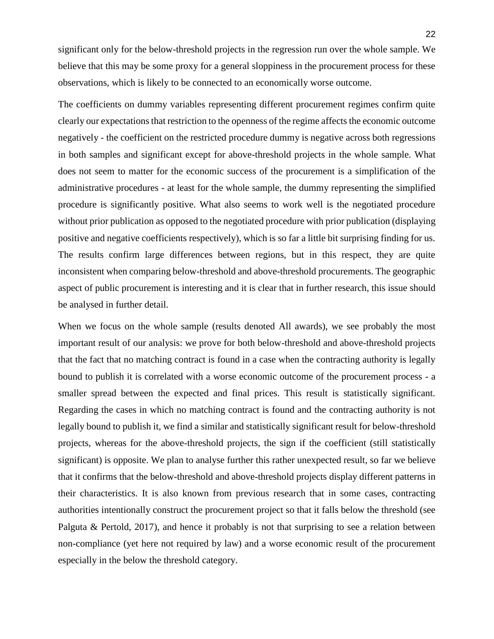significant only for the below-threshold projects in the regression run over the whole sample. We believe that this may be some proxy for a general sloppiness in the procurement process for these observations, which is likely to be connected to an economically worse outcome.

The coefficients on dummy variables representing different procurement regimes confirm quite clearly our expectations that restriction to the openness of the regime affects the economic outcome negatively - the coefficient on the restricted procedure dummy is negative across both regressions in both samples and significant except for above-threshold projects in the whole sample. What does not seem to matter for the economic success of the procurement is a simplification of the administrative procedures - at least for the whole sample, the dummy representing the simplified procedure is significantly positive. What also seems to work well is the negotiated procedure without prior publication as opposed to the negotiated procedure with prior publication (displaying positive and negative coefficients respectively), which is so far a little bit surprising finding for us. The results confirm large differences between regions, but in this respect, they are quite inconsistent when comparing below-threshold and above-threshold procurements. The geographic aspect of public procurement is interesting and it is clear that in further research, this issue should be analysed in further detail.

When we focus on the whole sample (results denoted All awards), we see probably the most important result of our analysis: we prove for both below-threshold and above-threshold projects that the fact that no matching contract is found in a case when the contracting authority is legally bound to publish it is correlated with a worse economic outcome of the procurement process - a smaller spread between the expected and final prices. This result is statistically significant. Regarding the cases in which no matching contract is found and the contracting authority is not legally bound to publish it, we find a similar and statistically significant result for below-threshold projects, whereas for the above-threshold projects, the sign if the coefficient (still statistically significant) is opposite. We plan to analyse further this rather unexpected result, so far we believe that it confirms that the below-threshold and above-threshold projects display different patterns in their characteristics. It is also known from previous research that in some cases, contracting authorities intentionally construct the procurement project so that it falls below the threshold (see Palguta & Pertold, 2017), and hence it probably is not that surprising to see a relation between non-compliance (yet here not required by law) and a worse economic result of the procurement especially in the below the threshold category.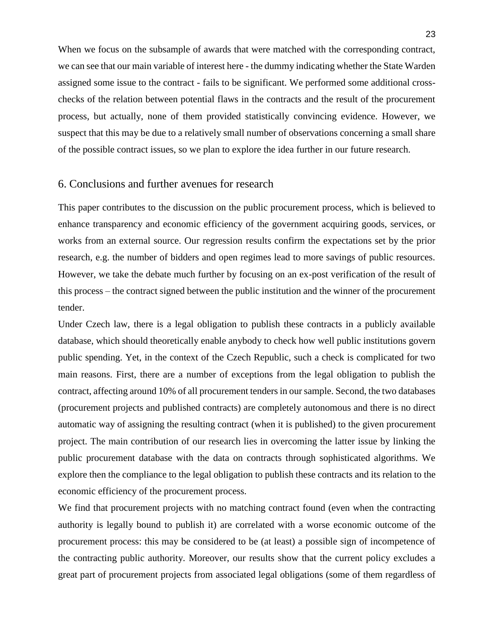When we focus on the subsample of awards that were matched with the corresponding contract, we can see that our main variable of interest here - the dummy indicating whether the State Warden assigned some issue to the contract - fails to be significant. We performed some additional crosschecks of the relation between potential flaws in the contracts and the result of the procurement process, but actually, none of them provided statistically convincing evidence. However, we suspect that this may be due to a relatively small number of observations concerning a small share of the possible contract issues, so we plan to explore the idea further in our future research.

# 6. Conclusions and further avenues for research

This paper contributes to the discussion on the public procurement process, which is believed to enhance transparency and economic efficiency of the government acquiring goods, services, or works from an external source. Our regression results confirm the expectations set by the prior research, e.g. the number of bidders and open regimes lead to more savings of public resources. However, we take the debate much further by focusing on an ex-post verification of the result of this process – the contract signed between the public institution and the winner of the procurement tender.

Under Czech law, there is a legal obligation to publish these contracts in a publicly available database, which should theoretically enable anybody to check how well public institutions govern public spending. Yet, in the context of the Czech Republic, such a check is complicated for two main reasons. First, there are a number of exceptions from the legal obligation to publish the contract, affecting around 10% of all procurement tenders in our sample. Second, the two databases (procurement projects and published contracts) are completely autonomous and there is no direct automatic way of assigning the resulting contract (when it is published) to the given procurement project. The main contribution of our research lies in overcoming the latter issue by linking the public procurement database with the data on contracts through sophisticated algorithms. We explore then the compliance to the legal obligation to publish these contracts and its relation to the economic efficiency of the procurement process.

We find that procurement projects with no matching contract found (even when the contracting authority is legally bound to publish it) are correlated with a worse economic outcome of the procurement process: this may be considered to be (at least) a possible sign of incompetence of the contracting public authority. Moreover, our results show that the current policy excludes a great part of procurement projects from associated legal obligations (some of them regardless of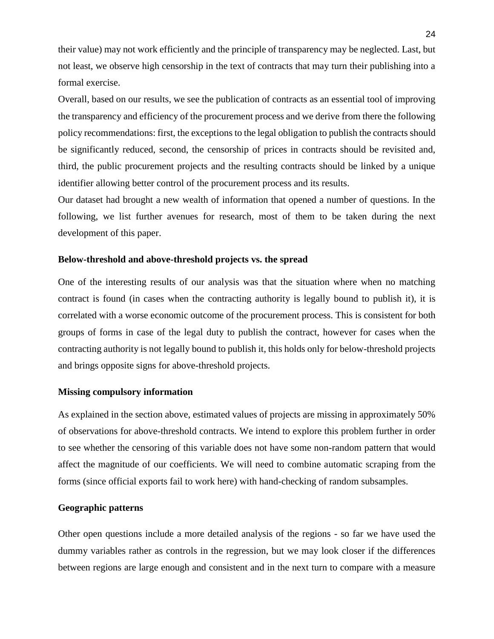their value) may not work efficiently and the principle of transparency may be neglected. Last, but not least, we observe high censorship in the text of contracts that may turn their publishing into a formal exercise.

Overall, based on our results, we see the publication of contracts as an essential tool of improving the transparency and efficiency of the procurement process and we derive from there the following policy recommendations: first, the exceptions to the legal obligation to publish the contracts should be significantly reduced, second, the censorship of prices in contracts should be revisited and, third, the public procurement projects and the resulting contracts should be linked by a unique identifier allowing better control of the procurement process and its results.

Our dataset had brought a new wealth of information that opened a number of questions. In the following, we list further avenues for research, most of them to be taken during the next development of this paper.

#### **Below-threshold and above-threshold projects vs. the spread**

One of the interesting results of our analysis was that the situation where when no matching contract is found (in cases when the contracting authority is legally bound to publish it), it is correlated with a worse economic outcome of the procurement process. This is consistent for both groups of forms in case of the legal duty to publish the contract, however for cases when the contracting authority is not legally bound to publish it, this holds only for below-threshold projects and brings opposite signs for above-threshold projects.

#### **Missing compulsory information**

As explained in the section above, estimated values of projects are missing in approximately 50% of observations for above-threshold contracts. We intend to explore this problem further in order to see whether the censoring of this variable does not have some non-random pattern that would affect the magnitude of our coefficients. We will need to combine automatic scraping from the forms (since official exports fail to work here) with hand-checking of random subsamples.

#### **Geographic patterns**

Other open questions include a more detailed analysis of the regions - so far we have used the dummy variables rather as controls in the regression, but we may look closer if the differences between regions are large enough and consistent and in the next turn to compare with a measure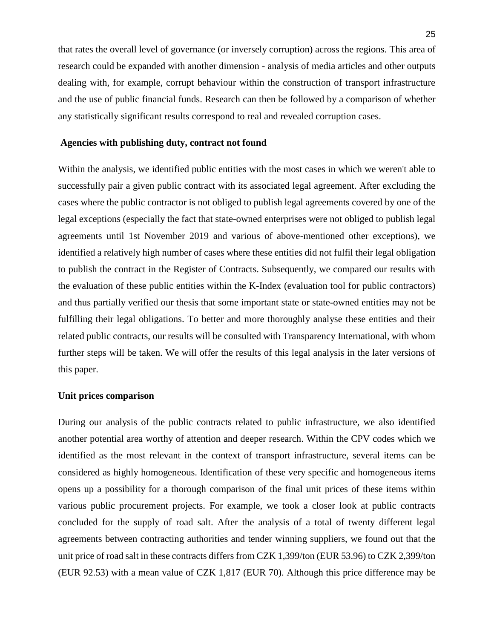that rates the overall level of governance (or inversely corruption) across the regions. This area of research could be expanded with another dimension - analysis of media articles and other outputs dealing with, for example, corrupt behaviour within the construction of transport infrastructure and the use of public financial funds. Research can then be followed by a comparison of whether any statistically significant results correspond to real and revealed corruption cases.

#### **Agencies with publishing duty, contract not found**

Within the analysis, we identified public entities with the most cases in which we weren't able to successfully pair a given public contract with its associated legal agreement. After excluding the cases where the public contractor is not obliged to publish legal agreements covered by one of the legal exceptions (especially the fact that state-owned enterprises were not obliged to publish legal agreements until 1st November 2019 and various of above-mentioned other exceptions), we identified a relatively high number of cases where these entities did not fulfil their legal obligation to publish the contract in the Register of Contracts. Subsequently, we compared our results with the evaluation of these public entities within the K-Index (evaluation tool for public contractors) and thus partially verified our thesis that some important state or state-owned entities may not be fulfilling their legal obligations. To better and more thoroughly analyse these entities and their related public contracts, our results will be consulted with Transparency International, with whom further steps will be taken. We will offer the results of this legal analysis in the later versions of this paper.

#### **Unit prices comparison**

During our analysis of the public contracts related to public infrastructure, we also identified another potential area worthy of attention and deeper research. Within the CPV codes which we identified as the most relevant in the context of transport infrastructure, several items can be considered as highly homogeneous. Identification of these very specific and homogeneous items opens up a possibility for a thorough comparison of the final unit prices of these items within various public procurement projects. For example, we took a closer look at public contracts concluded for the supply of road salt. After the analysis of a total of twenty different legal agreements between contracting authorities and tender winning suppliers, we found out that the unit price of road salt in these contracts differs from CZK 1,399/ton (EUR 53.96) to CZK 2,399/ton (EUR 92.53) with a mean value of CZK 1,817 (EUR 70). Although this price difference may be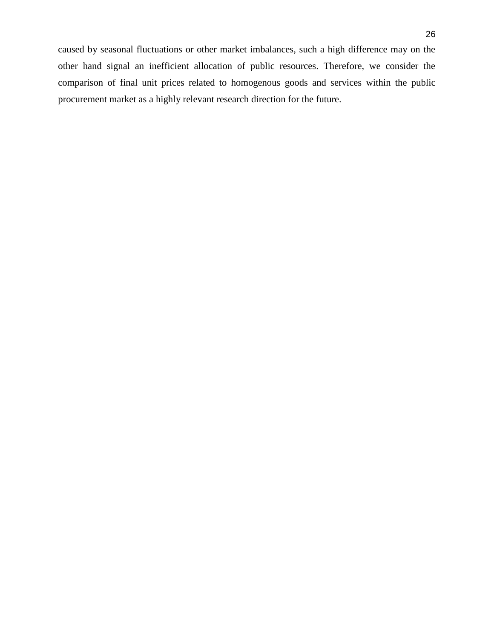caused by seasonal fluctuations or other market imbalances, such a high difference may on the other hand signal an inefficient allocation of public resources. Therefore, we consider the comparison of final unit prices related to homogenous goods and services within the public procurement market as a highly relevant research direction for the future.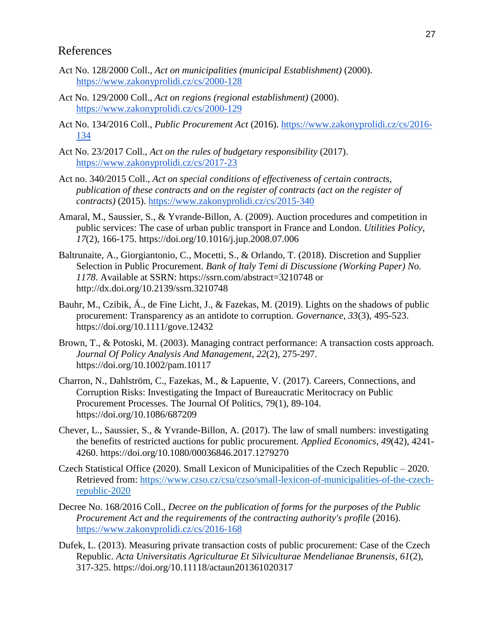# References

- Act No. 128/2000 Coll.*, Act on municipalities (municipal Establishment)* (2000). <https://www.zakonyprolidi.cz/cs/2000-128>
- Act No. 129/2000 Coll.*, Act on regions (regional establishment)* (2000). <https://www.zakonyprolidi.cz/cs/2000-129>
- Act No. 134/2016 Coll., *Public Procurement Act* (2016). [https://www.zakonyprolidi.cz/cs/2016-](https://www.zakonyprolidi.cz/cs/2016-134) [134](https://www.zakonyprolidi.cz/cs/2016-134)
- Act No. 23/2017 Coll., *Act on the rules of budgetary responsibility* (2017). <https://www.zakonyprolidi.cz/cs/2017-23>
- Act no. 340/2015 Coll., *Act on special conditions of effectiveness of certain contracts, publication of these contracts and on the register of contracts (act on the register of contracts)* (2015).<https://www.zakonyprolidi.cz/cs/2015-340>
- Amaral, M., Saussier, S., & Yvrande-Billon, A. (2009). Auction procedures and competition in public services: The case of urban public transport in France and London. *Utilities Policy*, *17*(2), 166-175. https://doi.org/10.1016/j.jup.2008.07.006
- Baltrunaite, A., Giorgiantonio, C., Mocetti, S., & Orlando, T. (2018). Discretion and Supplier Selection in Public Procurement. *Bank of Italy Temi di Discussione (Working Paper) No. 1178*. Available at SSRN: https://ssrn.com/abstract=3210748 or http://dx.doi.org/10.2139/ssrn.3210748
- Bauhr, M., Czibik, Á., de Fine Licht, J., & Fazekas, M. (2019). Lights on the shadows of public procurement: Transparency as an antidote to corruption. *Governance*, *33*(3), 495-523. https://doi.org/10.1111/gove.12432
- Brown, T., & Potoski, M. (2003). Managing contract performance: A transaction costs approach. *Journal Of Policy Analysis And Management*, *22*(2), 275-297. https://doi.org/10.1002/pam.10117
- Charron, N., Dahlström, C., Fazekas, M., & Lapuente, V. (2017). Careers, Connections, and Corruption Risks: Investigating the Impact of Bureaucratic Meritocracy on Public Procurement Processes. The Journal Of Politics, 79(1), 89-104. https://doi.org/10.1086/687209
- Chever, L., Saussier, S., & Yvrande-Billon, A. (2017). The law of small numbers: investigating the benefits of restricted auctions for public procurement. *Applied Economics*, *49*(42), 4241- 4260. https://doi.org/10.1080/00036846.2017.1279270
- Czech Statistical Office (2020). Small Lexicon of Municipalities of the Czech Republic 2020. Retrieved from: [https://www.czso.cz/csu/czso/small-lexicon-of-municipalities-of-the-czech](https://www.czso.cz/csu/czso/small-lexicon-of-municipalities-of-the-czech-republic-2020)[republic-2020](https://www.czso.cz/csu/czso/small-lexicon-of-municipalities-of-the-czech-republic-2020)
- Decree No. 168/2016 Coll., *Decree on the publication of forms for the purposes of the Public Procurement Act and the requirements of the contracting authority's profile* (2016). <https://www.zakonyprolidi.cz/cs/2016-168>
- Dufek, L. (2013). Measuring private transaction costs of public procurement: Case of the Czech Republic. *Acta Universitatis Agriculturae Et Silviculturae Mendelianae Brunensis*, *61*(2), 317-325. https://doi.org/10.11118/actaun201361020317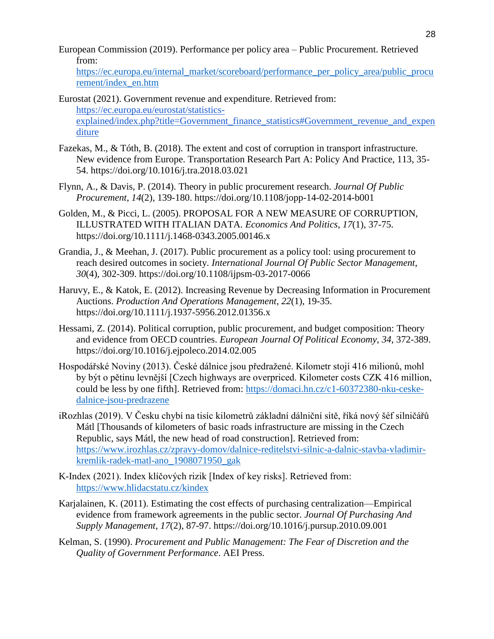European Commission (2019). Performance per policy area – Public Procurement. Retrieved from[:](https://ec.europa.eu/internal_market/scoreboard/performance_per_policy_area/public_procurement/index_en.htm)

[https://ec.europa.eu/internal\\_market/scoreboard/performance\\_per\\_policy\\_area/public\\_procu](https://ec.europa.eu/internal_market/scoreboard/performance_per_policy_area/public_procurement/index_en.htm) [rement/index\\_en.htm](https://ec.europa.eu/internal_market/scoreboard/performance_per_policy_area/public_procurement/index_en.htm)

Eurostat (2021). Government revenue and expenditure. Retrieved from: [https://ec.europa.eu/eurostat/statistics](https://ec.europa.eu/eurostat/statistics-explained/index.php?title=Government_finance_statistics#Government_revenue_and_expenditure)[explained/index.php?title=Government\\_finance\\_statistics#Government\\_revenue\\_and\\_expen](https://ec.europa.eu/eurostat/statistics-explained/index.php?title=Government_finance_statistics#Government_revenue_and_expenditure) [diture](https://ec.europa.eu/eurostat/statistics-explained/index.php?title=Government_finance_statistics#Government_revenue_and_expenditure)

- Fazekas, M., & Tóth, B. (2018). The extent and cost of corruption in transport infrastructure. New evidence from Europe. Transportation Research Part A: Policy And Practice, 113, 35- 54. https://doi.org/10.1016/j.tra.2018.03.021
- Flynn, A., & Davis, P. (2014). Theory in public procurement research. *Journal Of Public Procurement*, *14*(2), 139-180. https://doi.org/10.1108/jopp-14-02-2014-b001
- Golden, M., & Picci, L. (2005). PROPOSAL FOR A NEW MEASURE OF CORRUPTION, ILLUSTRATED WITH ITALIAN DATA. *Economics And Politics*, *17*(1), 37-75. https://doi.org/10.1111/j.1468-0343.2005.00146.x
- Grandia, J., & Meehan, J. (2017). Public procurement as a policy tool: using procurement to reach desired outcomes in society. *International Journal Of Public Sector Management*, *30*(4), 302-309. https://doi.org/10.1108/ijpsm-03-2017-0066
- Haruvy, E., & Katok, E. (2012). Increasing Revenue by Decreasing Information in Procurement Auctions. *Production And Operations Management*, *22*(1), 19-35. https://doi.org/10.1111/j.1937-5956.2012.01356.x
- Hessami, Z. (2014). Political corruption, public procurement, and budget composition: Theory and evidence from OECD countries. *European Journal Of Political Economy*, *34*, 372-389. https://doi.org/10.1016/j.ejpoleco.2014.02.005
- Hospodářské Noviny (2013). České dálnice jsou předražené. Kilometr stojí 416 milionů, mohl by být o pětinu levnější [Czech highways are overpriced. Kilometer costs CZK 416 million, could be less by one fifth]. Retrieved from: [https://domaci.hn.cz/c1-60372380-nku-ceske](https://domaci.hn.cz/c1-60372380-nku-ceske-dalnice-jsou-predrazene)[dalnice-jsou-predrazene](https://domaci.hn.cz/c1-60372380-nku-ceske-dalnice-jsou-predrazene)
- iRozhlas (2019). V Česku chybí na tisíc kilometrů základní dálniční sítě, říká nový šéf silničářů Mátl [Thousands of kilometers of basic roads infrastructure are missing in the Czech Republic, says Mátl, the new head of road construction]. Retrieved from[:](https://www.irozhlas.cz/zpravy-domov/dalnice-reditelstvi-silnic-a-dalnic-stavba-vladimir-kremlik-radek-matl-ano_1908071950_gak) [https://www.irozhlas.cz/zpravy-domov/dalnice-reditelstvi-silnic-a-dalnic-stavba-vladimir](https://www.irozhlas.cz/zpravy-domov/dalnice-reditelstvi-silnic-a-dalnic-stavba-vladimir-kremlik-radek-matl-ano_1908071950_gak)[kremlik-radek-matl-ano\\_1908071950\\_gak](https://www.irozhlas.cz/zpravy-domov/dalnice-reditelstvi-silnic-a-dalnic-stavba-vladimir-kremlik-radek-matl-ano_1908071950_gak)
- K-Index (2021). Index klíčových rizik [Index of key risks]. Retrieved from[:](https://www.hlidacstatu.cz/kindex) <https://www.hlidacstatu.cz/kindex>
- Karjalainen, K. (2011). Estimating the cost effects of purchasing centralization—Empirical evidence from framework agreements in the public sector. *Journal Of Purchasing And Supply Management*, *17*(2), 87-97. https://doi.org/10.1016/j.pursup.2010.09.001
- Kelman, S. (1990). *Procurement and Public Management: The Fear of Discretion and the Quality of Government Performance*. AEI Press.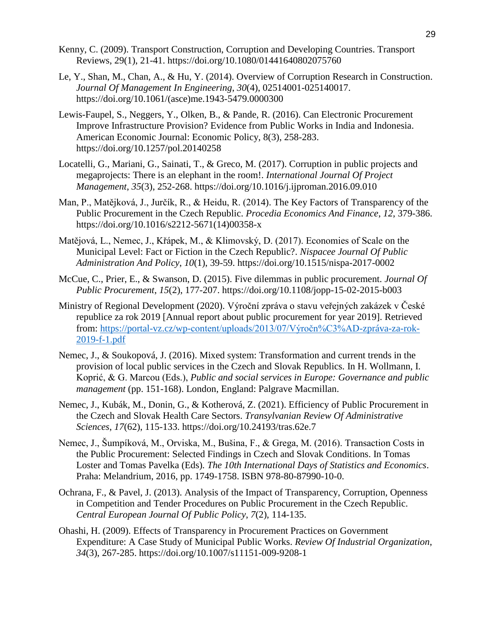- Kenny, C. (2009). Transport Construction, Corruption and Developing Countries. Transport Reviews, 29(1), 21-41. https://doi.org/10.1080/01441640802075760
- Le, Y., Shan, M., Chan, A., & Hu, Y. (2014). Overview of Corruption Research in Construction. *Journal Of Management In Engineering*, *30*(4), 02514001-025140017. https://doi.org/10.1061/(asce)me.1943-5479.0000300
- Lewis-Faupel, S., Neggers, Y., Olken, B., & Pande, R. (2016). Can Electronic Procurement Improve Infrastructure Provision? Evidence from Public Works in India and Indonesia. American Economic Journal: Economic Policy, 8(3), 258-283. https://doi.org/10.1257/pol.20140258
- Locatelli, G., Mariani, G., Sainati, T., & Greco, M. (2017). Corruption in public projects and megaprojects: There is an elephant in the room!. *International Journal Of Project Management*, *35*(3), 252-268. https://doi.org/10.1016/j.ijproman.2016.09.010
- Man, P., Matějková, J., Jurčík, R., & Heidu, R. (2014). The Key Factors of Transparency of the Public Procurement in the Czech Republic. *Procedia Economics And Finance*, *12*, 379-386. https://doi.org/10.1016/s2212-5671(14)00358-x
- Matějová, L., Nemec, J., Křápek, M., & Klimovský, D. (2017). Economies of Scale on the Municipal Level: Fact or Fiction in the Czech Republic?. *Nispacee Journal Of Public Administration And Policy*, *10*(1), 39-59. https://doi.org/10.1515/nispa-2017-0002
- McCue, C., Prier, E., & Swanson, D. (2015). Five dilemmas in public procurement. *Journal Of Public Procurement*, *15*(2), 177-207. https://doi.org/10.1108/jopp-15-02-2015-b003
- Ministry of Regional Development (2020). Výroční zpráva o stavu veřejných zakázek v České republice za rok 2019 [Annual report about public procurement for year 2019]. Retrieved from[:](https://portal-vz.cz/wp-content/uploads/2013/07/V%C3%BDro%C4%8Dn%C3%AD-zpr%C3%A1va-za-rok-2019-f-1.pdf) [https://portal-vz.cz/wp-content/uploads/2013/07/Výročn%C3%AD-zpráva-za-rok-](https://portal-vz.cz/wp-content/uploads/2013/07/V%C3%BDro%C4%8Dn%C3%AD-zpr%C3%A1va-za-rok-2019-f-1.pdf)[2019-f-1.pdf](https://portal-vz.cz/wp-content/uploads/2013/07/V%C3%BDro%C4%8Dn%C3%AD-zpr%C3%A1va-za-rok-2019-f-1.pdf)
- Nemec, J., & Soukopová, J. (2016). Mixed system: Transformation and current trends in the provision of local public services in the Czech and Slovak Republics. In H. Wollmann, I. Koprić, & G. Marcou (Eds.), *Public and social services in Europe: Governance and public management* (pp. 151-168). London, England: Palgrave Macmillan.
- Nemec, J., Kubák, M., Donin, G., & Kotherová, Z. (2021). Efficiency of Public Procurement in the Czech and Slovak Health Care Sectors. *Transylvanian Review Of Administrative Sciences*, *17*(62), 115-133. https://doi.org/10.24193/tras.62e.7
- Nemec, J., Šumpíková, M., Orviska, M., Bušina, F., & Grega, M. (2016). Transaction Costs in the Public Procurement: Selected Findings in Czech and Slovak Conditions. In Tomas Loster and Tomas Pavelka (Eds)*. The 10th International Days of Statistics and Economics*. Praha: Melandrium, 2016, pp. 1749-1758. ISBN 978-80-87990-10-0.
- Ochrana, F., & Pavel, J. (2013). Analysis of the Impact of Transparency, Corruption, Openness in Competition and Tender Procedures on Public Procurement in the Czech Republic. *Central European Journal Of Public Policy*, *7*(2), 114-135.
- Ohashi, H. (2009). Effects of Transparency in Procurement Practices on Government Expenditure: A Case Study of Municipal Public Works. *Review Of Industrial Organization*, *34*(3), 267-285. https://doi.org/10.1007/s11151-009-9208-1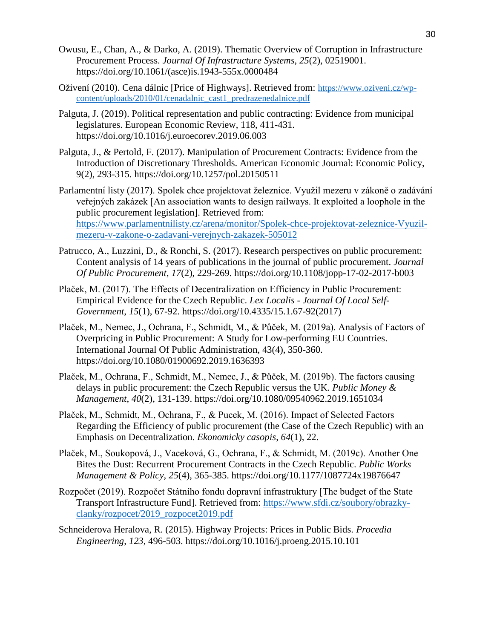- Owusu, E., Chan, A., & Darko, A. (2019). Thematic Overview of Corruption in Infrastructure Procurement Process. *Journal Of Infrastructure Systems*, *25*(2), 02519001. https://doi.org/10.1061/(asce)is.1943-555x.0000484
- Oživení (2010). Cena dálnic [Price of Highways]. Retrieved from: [https://www.oziveni.cz/wp](https://www.oziveni.cz/wp-content/uploads/2010/01/cenadalnic_cast1_predrazenedalnice.pdf)[content/uploads/2010/01/cenadalnic\\_cast1\\_predrazenedalnice.pdf](https://www.oziveni.cz/wp-content/uploads/2010/01/cenadalnic_cast1_predrazenedalnice.pdf)
- Palguta, J. (2019). Political representation and public contracting: Evidence from municipal legislatures. European Economic Review, 118, 411-431. https://doi.org/10.1016/j.euroecorev.2019.06.003
- Palguta, J., & Pertold, F. (2017). Manipulation of Procurement Contracts: Evidence from the Introduction of Discretionary Thresholds. American Economic Journal: Economic Policy, 9(2), 293-315. https://doi.org/10.1257/pol.20150511
- Parlamentní listy (2017). Spolek chce projektovat železnice. Využil mezeru v zákoně o zadávání veřejných zakázek [An association wants to design railways. It exploited a loophole in the public procurement legislation]. Retrieved from[:](https://www.parlamentnilisty.cz/arena/monitor/Spolek-chce-projektovat-zeleznice-Vyuzil-mezeru-v-zakone-o-zadavani-verejnych-zakazek-505012) [https://www.parlamentnilisty.cz/arena/monitor/Spolek-chce-projektovat-zeleznice-Vyuzil](https://www.parlamentnilisty.cz/arena/monitor/Spolek-chce-projektovat-zeleznice-Vyuzil-mezeru-v-zakone-o-zadavani-verejnych-zakazek-505012)[mezeru-v-zakone-o-zadavani-verejnych-zakazek-505012](https://www.parlamentnilisty.cz/arena/monitor/Spolek-chce-projektovat-zeleznice-Vyuzil-mezeru-v-zakone-o-zadavani-verejnych-zakazek-505012)
- Patrucco, A., Luzzini, D., & Ronchi, S. (2017). Research perspectives on public procurement: Content analysis of 14 years of publications in the journal of public procurement. *Journal Of Public Procurement*, *17*(2), 229-269. https://doi.org/10.1108/jopp-17-02-2017-b003
- Plaček, M. (2017). The Effects of Decentralization on Efficiency in Public Procurement: Empirical Evidence for the Czech Republic. *Lex Localis - Journal Of Local Self-Government*, *15*(1), 67-92. https://doi.org/10.4335/15.1.67-92(2017)
- Plaček, M., Nemec, J., Ochrana, F., Schmidt, M., & Půček, M. (2019a). Analysis of Factors of Overpricing in Public Procurement: A Study for Low-performing EU Countries. International Journal Of Public Administration, 43(4), 350-360. https://doi.org/10.1080/01900692.2019.1636393
- Plaček, M., Ochrana, F., Schmidt, M., Nemec, J., & Půček, M. (2019b). The factors causing delays in public procurement: the Czech Republic versus the UK. *Public Money & Management*, *40*(2), 131-139. https://doi.org/10.1080/09540962.2019.1651034
- Plaček, M., Schmidt, M., Ochrana, F., & Pucek, M. (2016). Impact of Selected Factors Regarding the Efficiency of public procurement (the Case of the Czech Republic) with an Emphasis on Decentralization. *Ekonomicky casopis*, *64*(1), 22.
- Plaček, M., Soukopová, J., Vaceková, G., Ochrana, F., & Schmidt, M. (2019c). Another One Bites the Dust: Recurrent Procurement Contracts in the Czech Republic. *Public Works Management & Policy*, *25*(4), 365-385. https://doi.org/10.1177/1087724x19876647
- Rozpočet (2019). Rozpočet Státního fondu dopravní infrastruktury [The budget of the State Transport Infrastructure Fund]. Retrieved from: [https://www.sfdi.cz/soubory/obrazky](https://www.sfdi.cz/soubory/obrazky-clanky/rozpocet/2019_rozpocet2019.pdf)[clanky/rozpocet/2019\\_rozpocet2019.pdf](https://www.sfdi.cz/soubory/obrazky-clanky/rozpocet/2019_rozpocet2019.pdf)
- Schneiderova Heralova, R. (2015). Highway Projects: Prices in Public Bids. *Procedia Engineering*, *123*, 496-503. https://doi.org/10.1016/j.proeng.2015.10.101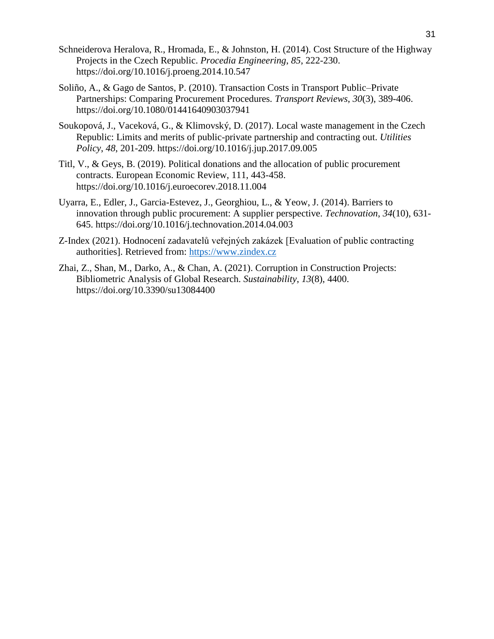- Schneiderova Heralova, R., Hromada, E., & Johnston, H. (2014). Cost Structure of the Highway Projects in the Czech Republic. *Procedia Engineering*, *85*, 222-230. https://doi.org/10.1016/j.proeng.2014.10.547
- Soliño, A., & Gago de Santos, P. (2010). Transaction Costs in Transport Public–Private Partnerships: Comparing Procurement Procedures. *Transport Reviews*, *30*(3), 389-406. https://doi.org/10.1080/01441640903037941
- Soukopová, J., Vaceková, G., & Klimovský, D. (2017). Local waste management in the Czech Republic: Limits and merits of public-private partnership and contracting out. *Utilities Policy*, *48*, 201-209. https://doi.org/10.1016/j.jup.2017.09.005
- Titl, V., & Geys, B. (2019). Political donations and the allocation of public procurement contracts. European Economic Review, 111, 443-458. https://doi.org/10.1016/j.euroecorev.2018.11.004
- Uyarra, E., Edler, J., Garcia-Estevez, J., Georghiou, L., & Yeow, J. (2014). Barriers to innovation through public procurement: A supplier perspective. *Technovation*, *34*(10), 631- 645. https://doi.org/10.1016/j.technovation.2014.04.003
- Z-Index (2021). Hodnocení zadavatelů veřejných zakázek [Evaluation of public contracting authorities]. Retrieved from[:](https://www.zindex.cz/) [https://www.zindex.cz](https://www.zindex.cz/)
- Zhai, Z., Shan, M., Darko, A., & Chan, A. (2021). Corruption in Construction Projects: Bibliometric Analysis of Global Research. *Sustainability*, *13*(8), 4400. https://doi.org/10.3390/su13084400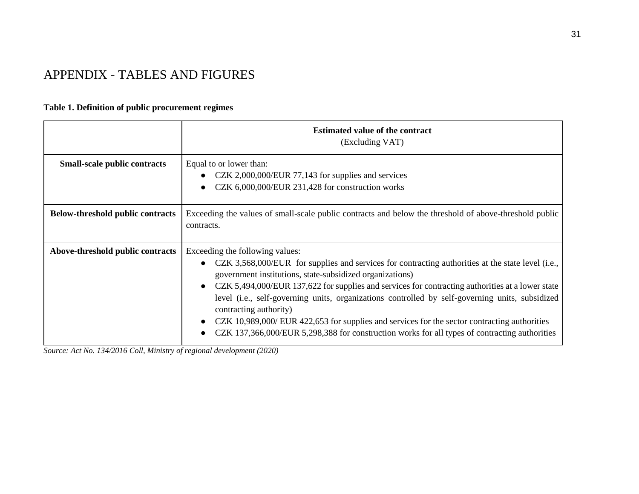# APPENDIX - TABLES AND FIGURES

# **Table 1. Definition of public procurement regimes**

|                                         | <b>Estimated value of the contract</b><br>(Excluding VAT)                                                                                                                                                                                                                                                                                                                                                                                                                                                                                                                                                                          |  |  |  |  |
|-----------------------------------------|------------------------------------------------------------------------------------------------------------------------------------------------------------------------------------------------------------------------------------------------------------------------------------------------------------------------------------------------------------------------------------------------------------------------------------------------------------------------------------------------------------------------------------------------------------------------------------------------------------------------------------|--|--|--|--|
| <b>Small-scale public contracts</b>     | Equal to or lower than:<br>CZK 2,000,000/EUR 77,143 for supplies and services<br>CZK 6,000,000/EUR 231,428 for construction works                                                                                                                                                                                                                                                                                                                                                                                                                                                                                                  |  |  |  |  |
| <b>Below-threshold public contracts</b> | Exceeding the values of small-scale public contracts and below the threshold of above-threshold public<br>contracts.                                                                                                                                                                                                                                                                                                                                                                                                                                                                                                               |  |  |  |  |
| Above-threshold public contracts        | Exceeding the following values:<br>CZK 3,568,000/EUR for supplies and services for contracting authorities at the state level (i.e.,<br>government institutions, state-subsidized organizations)<br>CZK 5,494,000/EUR 137,622 for supplies and services for contracting authorities at a lower state<br>level (i.e., self-governing units, organizations controlled by self-governing units, subsidized<br>contracting authority)<br>CZK 10,989,000/ EUR 422,653 for supplies and services for the sector contracting authorities<br>CZK 137,366,000/EUR 5,298,388 for construction works for all types of contracting authorities |  |  |  |  |

<span id="page-32-0"></span>*Source: Act No. 134/2016 Coll, Ministry of regional development (2020)*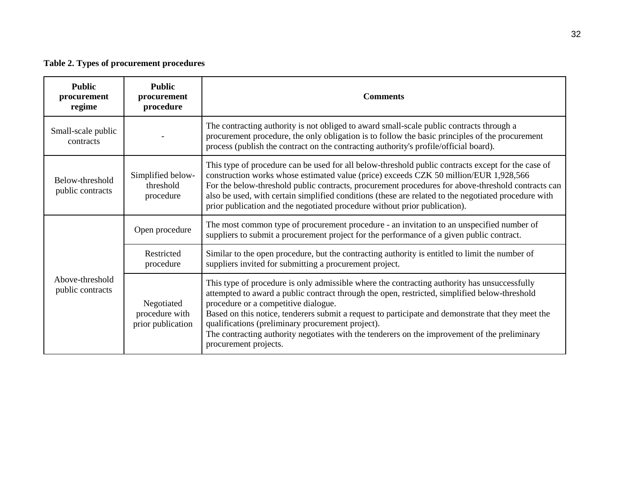# **Table 2. Types of procurement procedures**

<span id="page-33-0"></span>

| <b>Public</b><br>procurement<br>regime | <b>Public</b><br>procurement<br>procedure         | <b>Comments</b>                                                                                                                                                                                                                                                                                                                                                                                                                                                                                                            |  |  |  |  |
|----------------------------------------|---------------------------------------------------|----------------------------------------------------------------------------------------------------------------------------------------------------------------------------------------------------------------------------------------------------------------------------------------------------------------------------------------------------------------------------------------------------------------------------------------------------------------------------------------------------------------------------|--|--|--|--|
| Small-scale public<br>contracts        |                                                   | The contracting authority is not obliged to award small-scale public contracts through a<br>procurement procedure, the only obligation is to follow the basic principles of the procurement<br>process (publish the contract on the contracting authority's profile/official board).                                                                                                                                                                                                                                       |  |  |  |  |
| Below-threshold<br>public contracts    | Simplified below-<br>threshold<br>procedure       | This type of procedure can be used for all below-threshold public contracts except for the case of<br>construction works whose estimated value (price) exceeds CZK 50 million/EUR 1,928,566<br>For the below-threshold public contracts, procurement procedures for above-threshold contracts can<br>also be used, with certain simplified conditions (these are related to the negotiated procedure with<br>prior publication and the negotiated procedure without prior publication).                                    |  |  |  |  |
|                                        | Open procedure                                    | The most common type of procurement procedure - an invitation to an unspecified number of<br>suppliers to submit a procurement project for the performance of a given public contract.                                                                                                                                                                                                                                                                                                                                     |  |  |  |  |
|                                        | Restricted<br>procedure                           | Similar to the open procedure, but the contracting authority is entitled to limit the number of<br>suppliers invited for submitting a procurement project.                                                                                                                                                                                                                                                                                                                                                                 |  |  |  |  |
| Above-threshold<br>public contracts    | Negotiated<br>procedure with<br>prior publication | This type of procedure is only admissible where the contracting authority has unsuccessfully<br>attempted to award a public contract through the open, restricted, simplified below-threshold<br>procedure or a competitive dialogue.<br>Based on this notice, tenderers submit a request to participate and demonstrate that they meet the<br>qualifications (preliminary procurement project).<br>The contracting authority negotiates with the tenderers on the improvement of the preliminary<br>procurement projects. |  |  |  |  |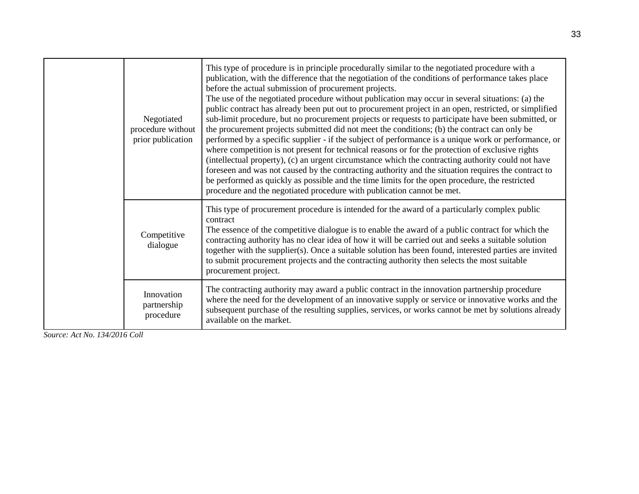|  | Negotiated<br>procedure without<br>prior publication | This type of procedure is in principle procedurally similar to the negotiated procedure with a<br>publication, with the difference that the negotiation of the conditions of performance takes place<br>before the actual submission of procurement projects.<br>The use of the negotiated procedure without publication may occur in several situations: (a) the<br>public contract has already been put out to procurement project in an open, restricted, or simplified<br>sub-limit procedure, but no procurement projects or requests to participate have been submitted, or<br>the procurement projects submitted did not meet the conditions; (b) the contract can only be<br>performed by a specific supplier - if the subject of performance is a unique work or performance, or<br>where competition is not present for technical reasons or for the protection of exclusive rights<br>(intellectual property), (c) an urgent circumstance which the contracting authority could not have<br>foreseen and was not caused by the contracting authority and the situation requires the contract to<br>be performed as quickly as possible and the time limits for the open procedure, the restricted<br>procedure and the negotiated procedure with publication cannot be met. |
|--|------------------------------------------------------|----------------------------------------------------------------------------------------------------------------------------------------------------------------------------------------------------------------------------------------------------------------------------------------------------------------------------------------------------------------------------------------------------------------------------------------------------------------------------------------------------------------------------------------------------------------------------------------------------------------------------------------------------------------------------------------------------------------------------------------------------------------------------------------------------------------------------------------------------------------------------------------------------------------------------------------------------------------------------------------------------------------------------------------------------------------------------------------------------------------------------------------------------------------------------------------------------------------------------------------------------------------------------------------|
|  | Competitive<br>dialogue                              | This type of procurement procedure is intended for the award of a particularly complex public<br>contract<br>The essence of the competitive dialogue is to enable the award of a public contract for which the<br>contracting authority has no clear idea of how it will be carried out and seeks a suitable solution<br>together with the supplier(s). Once a suitable solution has been found, interested parties are invited<br>to submit procurement projects and the contracting authority then selects the most suitable<br>procurement project.                                                                                                                                                                                                                                                                                                                                                                                                                                                                                                                                                                                                                                                                                                                                 |
|  | Innovation<br>partnership<br>procedure               | The contracting authority may award a public contract in the innovation partnership procedure<br>where the need for the development of an innovative supply or service or innovative works and the<br>subsequent purchase of the resulting supplies, services, or works cannot be met by solutions already<br>available on the market.                                                                                                                                                                                                                                                                                                                                                                                                                                                                                                                                                                                                                                                                                                                                                                                                                                                                                                                                                 |

*Source: Act No. 134/2016 Coll*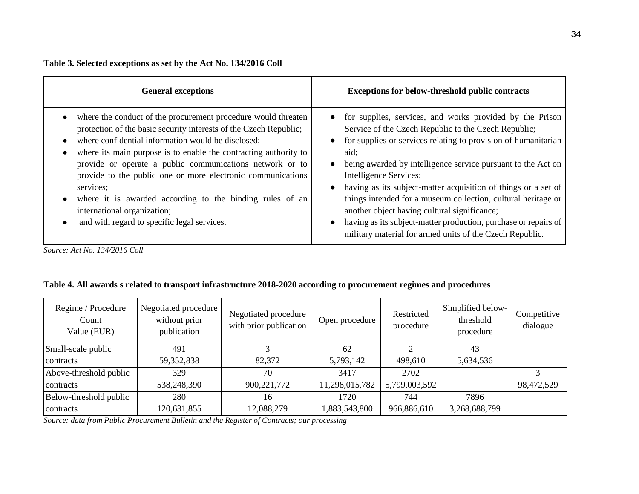#### **Table 3. Selected exceptions as set by the Act No. 134/2016 Coll**

| <b>General exceptions</b>                                                                                                                                                                                                                                                                                                                                                                                                                                                                                                                      | <b>Exceptions for below-threshold public contracts</b>                                                                                                                                                                                                                                                                                                                                                                                                                                                                                                                                                                                        |
|------------------------------------------------------------------------------------------------------------------------------------------------------------------------------------------------------------------------------------------------------------------------------------------------------------------------------------------------------------------------------------------------------------------------------------------------------------------------------------------------------------------------------------------------|-----------------------------------------------------------------------------------------------------------------------------------------------------------------------------------------------------------------------------------------------------------------------------------------------------------------------------------------------------------------------------------------------------------------------------------------------------------------------------------------------------------------------------------------------------------------------------------------------------------------------------------------------|
| where the conduct of the procurement procedure would threaten<br>protection of the basic security interests of the Czech Republic;<br>where confidential information would be disclosed;<br>where its main purpose is to enable the contracting authority to<br>provide or operate a public communications network or to<br>provide to the public one or more electronic communications<br>services;<br>where it is awarded according to the binding rules of an<br>international organization;<br>and with regard to specific legal services. | for supplies, services, and works provided by the Prison<br>$\bullet$<br>Service of the Czech Republic to the Czech Republic;<br>for supplies or services relating to provision of humanitarian<br>aid:<br>being awarded by intelligence service pursuant to the Act on<br>$\bullet$<br>Intelligence Services;<br>having as its subject-matter acquisition of things or a set of<br>$\bullet$<br>things intended for a museum collection, cultural heritage or<br>another object having cultural significance;<br>having as its subject-matter production, purchase or repairs of<br>military material for armed units of the Czech Republic. |

*Source: Act No. 134/2016 Coll*

# **Table 4. All awards s related to transport infrastructure 2018-2020 according to procurement regimes and procedures**

| Regime / Procedure<br>Count<br>Value (EUR) | Negotiated procedure<br>without prior<br>publication | Negotiated procedure<br>with prior publication | Open procedure | Restricted<br>procedure | Simplified below-<br>threshold<br>procedure | Competitive<br>dialogue |
|--------------------------------------------|------------------------------------------------------|------------------------------------------------|----------------|-------------------------|---------------------------------------------|-------------------------|
| Small-scale public                         | 491                                                  |                                                | 62             | ⌒                       | 43                                          |                         |
| contracts                                  | 59,352,838                                           | 82,372                                         | 5,793,142      | 498,610                 | 5,634,536                                   |                         |
| Above-threshold public                     | 329                                                  | 70                                             | 3417           | 2702                    |                                             | 3                       |
| contracts                                  | 538,248,390                                          | 900, 221, 772                                  | 11,298,015,782 | 5,799,003,592           |                                             | 98,472,529              |
| Below-threshold public                     | 280                                                  | 16                                             | 1720           | 744                     | 7896                                        |                         |
| contracts                                  | 120,631,855                                          | 12,088,279                                     | ,883,543,800   | 966,886,610             | 3,268,688,799                               |                         |

<span id="page-35-0"></span>*Source: data from Public Procurement Bulletin and the Register of Contracts; our processing*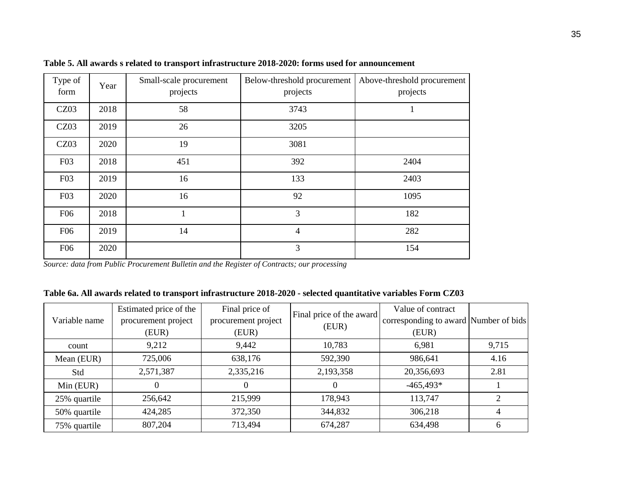| Type of<br>form | Year | Small-scale procurement<br>projects | Below-threshold procurement<br>projects | Above-threshold procurement<br>projects |
|-----------------|------|-------------------------------------|-----------------------------------------|-----------------------------------------|
| CZ03            | 2018 | 58                                  | 3743                                    |                                         |
| CZ03            | 2019 | 26                                  | 3205                                    |                                         |
| CZ03            | 2020 | 19                                  | 3081                                    |                                         |
| F <sub>03</sub> | 2018 | 451                                 | 392                                     | 2404                                    |
| F <sub>03</sub> | 2019 | 16                                  | 133                                     | 2403                                    |
| F <sub>03</sub> | 2020 | 16                                  | 92                                      | 1095                                    |
| F <sub>06</sub> | 2018 |                                     | 3                                       | 182                                     |
| F <sub>06</sub> | 2019 | 14                                  | 4                                       | 282                                     |
| F <sub>06</sub> | 2020 |                                     | 3                                       | 154                                     |

**Table 5. All awards s related to transport infrastructure 2018-2020: forms used for announcement**

#### <span id="page-36-0"></span>**Table 6a. All awards related to transport infrastructure 2018-2020 - selected quantitative variables Form CZ03**

<span id="page-36-1"></span>

| Variable name | Estimated price of the<br>procurement project<br>(EUR) | Final price of<br>procurement project<br>(EUR) | Final price of the award<br>(EUR) | Value of contract<br>corresponding to award Number of bids<br>(EUR) |                |
|---------------|--------------------------------------------------------|------------------------------------------------|-----------------------------------|---------------------------------------------------------------------|----------------|
| count         | 9,212                                                  | 9,442                                          | 10,783                            | 6,981                                                               | 9,715          |
| Mean (EUR)    | 725,006                                                | 638,176                                        | 592,390                           | 986,641                                                             | 4.16           |
| Std           | 2,571,387                                              | 2,335,216                                      | 2,193,358                         | 20,356,693                                                          | 2.81           |
| $Min$ (EUR)   |                                                        |                                                |                                   | $-465,493*$                                                         |                |
| 25% quartile  | 256,642                                                | 215,999                                        | 178,943                           | 113,747                                                             | $\overline{2}$ |
| 50% quartile  | 424,285                                                | 372,350                                        | 344,832                           | 306,218                                                             |                |
| 75% quartile  | 807,204                                                | 713,494                                        | 674,287                           | 634,498                                                             | 6              |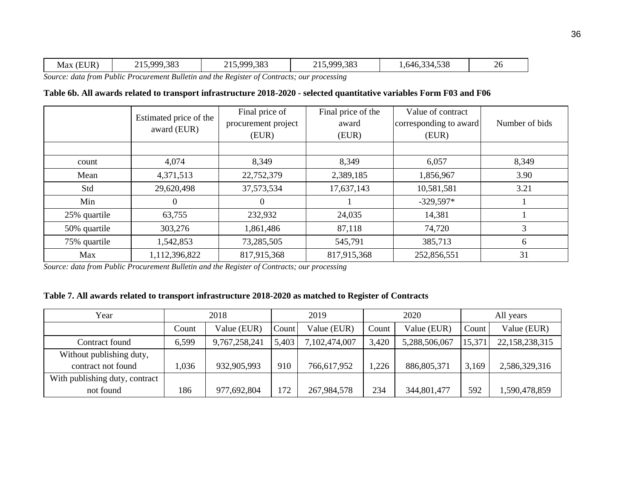#### **Table 6b. All awards related to transport infrastructure 2018-2020 - selected quantitative variables Form F03 and F06**

|              | Estimated price of the | Final price of      | Final price of the | Value of contract      |                |
|--------------|------------------------|---------------------|--------------------|------------------------|----------------|
|              | award (EUR)            | procurement project | award              | corresponding to award | Number of bids |
|              |                        | (EUR)               | (EUR)              | (EUR)                  |                |
|              |                        |                     |                    |                        |                |
| count        | 4,074                  | 8,349               | 8,349              | 6,057                  | 8,349          |
| Mean         | 4,371,513              | 22,752,379          | 2,389,185          | 1,856,967              | 3.90           |
| Std          | 29,620,498             | 37, 573, 534        | 17,637,143         | 10,581,581             | 3.21           |
| Min          | $\Omega$               | $\Omega$            |                    | $-329,597*$            |                |
| 25% quartile | 63,755                 | 232,932             | 24,035             | 14,381                 |                |
| 50% quartile | 303,276                | 1,861,486           | 87,118             | 74,720                 | 3              |
| 75% quartile | 1,542,853              | 73,285,505          | 545,791            | 385,713                | 6              |
| Max          | 1,112,396,822          | 817,915,368         | 817,915,368        | 252,856,551            | 31             |

<span id="page-37-0"></span>*Source: data from Public Procurement Bulletin and the Register of Contracts; our processing*

#### **Table 7. All awards related to transport infrastructure 2018-2020 as matched to Register of Contracts**

<span id="page-37-1"></span>

| Year                           |       | 2018          |       | 2019          | 2020  |               | All years |                |  |
|--------------------------------|-------|---------------|-------|---------------|-------|---------------|-----------|----------------|--|
|                                | Count | Value (EUR)   | Count | Value (EUR)   | Count | Value (EUR)   | Count     | Value (EUR)    |  |
| Contract found                 | 6,599 | 9,767,258,241 | 5,403 | 7,102,474,007 | 3,420 | 5,288,506,067 | 15,371    | 22,158,238,315 |  |
| Without publishing duty,       |       |               |       |               |       |               |           |                |  |
| contract not found             | 1,036 | 932,905,993   | 910   | 766,617,952   | 1,226 | 886, 805, 371 | 3,169     | 2,586,329,316  |  |
| With publishing duty, contract |       |               |       |               |       |               |           |                |  |
| not found                      | 186   | 977,692,804   | 172   | 267,984,578   | 234   | 344,801,477   | 592       | ,590,478,859   |  |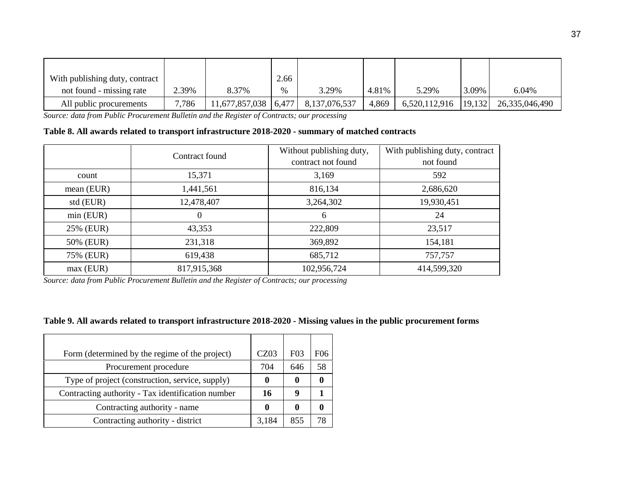| With publishing duty, contract |       |                          | 2.66          |               |       |               |        |                |
|--------------------------------|-------|--------------------------|---------------|---------------|-------|---------------|--------|----------------|
| not found - missing rate       | 2.39% | 8.37%                    | $\frac{0}{0}$ | 3.29%         | 4.81% | 5.29%         | 3.09%  | 6.04%          |
| All public procurements        | 7,786 | $11,677,857,038$   6,477 |               | 8,137,076,537 | 4,869 | 6,520,112,916 | 19,132 | 26,335,046,490 |

**Table 8. All awards related to transport infrastructure 2018-2020 - summary of matched contracts**

|              | Contract found | Without publishing duty, | With publishing duty, contract |  |
|--------------|----------------|--------------------------|--------------------------------|--|
|              |                | contract not found       | not found                      |  |
| count        | 15,371         | 3,169                    | 592                            |  |
| mean $(EUR)$ | 1,441,561      | 816,134                  | 2,686,620                      |  |
| std (EUR)    | 12,478,407     | 3,264,302                | 19,930,451                     |  |
| $min$ (EUR)  | 0              | 6                        | 24                             |  |
| 25% (EUR)    | 43,353         | 222,809                  | 23,517                         |  |
| 50% (EUR)    | 231,318        | 369,892                  | 154,181                        |  |
| 75% (EUR)    | 619,438        | 685,712                  | 757,757                        |  |
| $max$ (EUR)  | 817,915,368    | 102,956,724              | 414,599,320                    |  |

<span id="page-38-0"></span>*Source: data from Public Procurement Bulletin and the Register of Contracts; our processing*

#### **Table 9. All awards related to transport infrastructure 2018-2020 - Missing values in the public procurement forms**

<span id="page-38-1"></span>

| Form (determined by the regime of the project)    | CZ03  | F <sub>03</sub> | F06 |
|---------------------------------------------------|-------|-----------------|-----|
| Procurement procedure                             | 704   | 646             | 58  |
| Type of project (construction, service, supply)   |       |                 |     |
| Contracting authority - Tax identification number | 16    | q               |     |
| Contracting authority - name                      |       |                 |     |
| Contracting authority - district                  | 3,184 | 855             | 78  |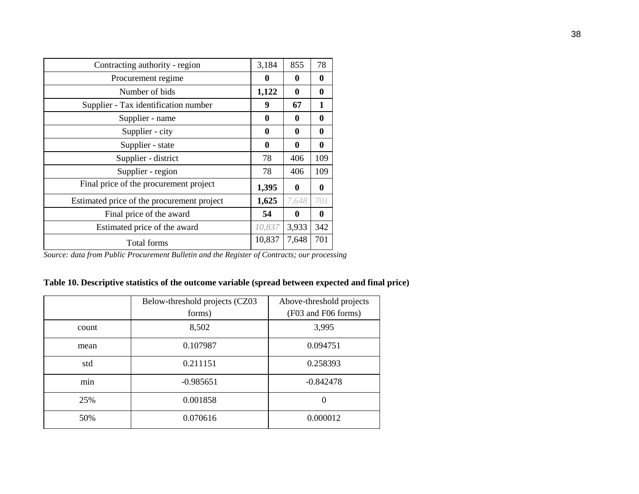| Contracting authority - region             |        | 855   | 78       |
|--------------------------------------------|--------|-------|----------|
| Procurement regime                         | 0      | 0     | $\bf{0}$ |
| Number of bids                             | 1,122  | 0     | 0        |
| Supplier - Tax identification number       | 9      | 67    | 1        |
| Supplier - name                            | 0      | 0     | $\bf{0}$ |
| Supplier - city                            | 0      | 0     | 0        |
| Supplier - state                           | 0      | 0     | 0        |
| Supplier - district                        | 78     | 406   | 109      |
| Supplier - region                          | 78     | 406   | 109      |
| Final price of the procurement project     | 1,395  | 0     | 0        |
| Estimated price of the procurement project | 1,625  | 7,648 | 701      |
| Final price of the award                   | 54     | 0     | $\bf{0}$ |
| Estimated price of the award               | 10,837 | 3,933 | 342      |
| Total forms                                | 10,837 | 7,648 | 701      |

# **Table 10. Descriptive statistics of the outcome variable (spread between expected and final price)**

<span id="page-39-0"></span>

|       | Below-threshold projects (CZ03 | Above-threshold projects<br>(F03 and F06 forms) |
|-------|--------------------------------|-------------------------------------------------|
|       | forms)                         |                                                 |
| count | 8,502                          | 3,995                                           |
| mean  | 0.107987                       | 0.094751                                        |
| std   | 0.211151                       | 0.258393                                        |
| min   | $-0.985651$                    | $-0.842478$                                     |
| 25%   | 0.001858                       | 0                                               |
| 50%   | 0.070616                       | 0.000012                                        |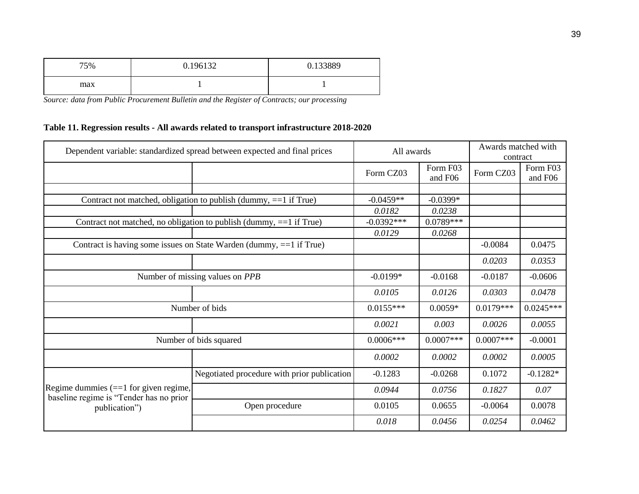| 75% | 0.196132 | 0.133889 |
|-----|----------|----------|
| max |          |          |

# **Table 11. Regression results - All awards related to transport infrastructure 2018-2020**

<span id="page-40-0"></span>

| Dependent variable: standardized spread between expected and final prices           |                                                                       | All awards   | Awards matched with<br>contract |             |                     |
|-------------------------------------------------------------------------------------|-----------------------------------------------------------------------|--------------|---------------------------------|-------------|---------------------|
|                                                                                     |                                                                       | Form CZ03    | Form F03<br>and F06             | Form CZ03   | Form F03<br>and F06 |
|                                                                                     |                                                                       |              |                                 |             |                     |
|                                                                                     | Contract not matched, obligation to publish (dummy, ==1 if True)      | $-0.0459**$  | $-0.0399*$                      |             |                     |
|                                                                                     |                                                                       | 0.0182       | 0.0238                          |             |                     |
|                                                                                     | Contract not matched, no obligation to publish (dummy, $==1$ if True) | $-0.0392***$ | $0.0789***$                     |             |                     |
|                                                                                     |                                                                       | 0.0129       | 0.0268                          |             |                     |
|                                                                                     | Contract is having some issues on State Warden (dummy, ==1 if True)   |              |                                 | $-0.0084$   | 0.0475              |
|                                                                                     |                                                                       |              |                                 | 0.0203      | 0.0353              |
|                                                                                     | Number of missing values on PPB                                       | $-0.0199*$   | $-0.0168$                       | $-0.0187$   | $-0.0606$           |
|                                                                                     |                                                                       | 0.0105       | 0.0126                          | 0.0303      | 0.0478              |
|                                                                                     | Number of bids                                                        | $0.0155***$  | $0.0059*$                       | $0.0179***$ | $0.0245***$         |
|                                                                                     |                                                                       | 0.0021       | 0.003                           | 0.0026      | 0.0055              |
|                                                                                     | Number of bids squared                                                | $0.0006***$  | $0.0007***$                     | $0.0007***$ | $-0.0001$           |
|                                                                                     |                                                                       | 0.0002       | 0.0002                          | 0.0002      | 0.0005              |
|                                                                                     | Negotiated procedure with prior publication                           | $-0.1283$    | $-0.0268$                       | 0.1072      | $-0.1282*$          |
| Regime dummies $(==1)$ for given regime,<br>baseline regime is "Tender has no prior |                                                                       | 0.0944       | 0.0756                          | 0.1827      | 0.07                |
| publication")                                                                       | Open procedure                                                        | 0.0105       | 0.0655                          | $-0.0064$   | 0.0078              |
|                                                                                     |                                                                       | 0.018        | 0.0456                          | 0.0254      | 0.0462              |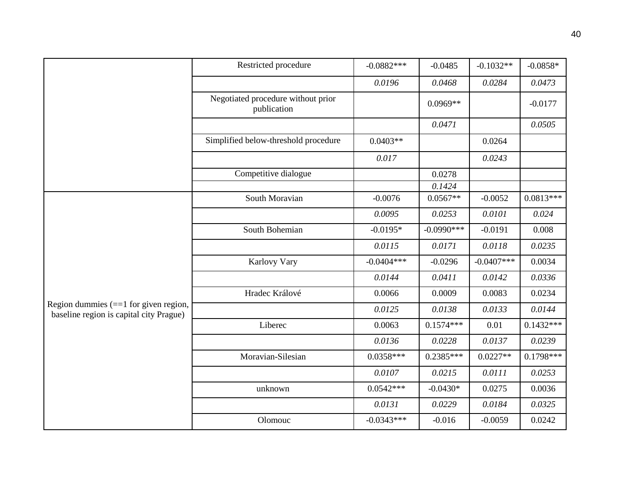|                                                                                    | Restricted procedure                              | $-0.0882***$ | $-0.0485$    | $-0.1032**$  | $-0.0858*$  |
|------------------------------------------------------------------------------------|---------------------------------------------------|--------------|--------------|--------------|-------------|
|                                                                                    |                                                   | 0.0196       | 0.0468       | 0.0284       | 0.0473      |
|                                                                                    | Negotiated procedure without prior<br>publication |              | $0.0969**$   |              | $-0.0177$   |
|                                                                                    |                                                   |              | 0.0471       |              | 0.0505      |
|                                                                                    | Simplified below-threshold procedure              | $0.0403**$   |              | 0.0264       |             |
|                                                                                    |                                                   | 0.017        |              | 0.0243       |             |
|                                                                                    | Competitive dialogue                              |              | 0.0278       |              |             |
|                                                                                    |                                                   |              | 0.1424       |              |             |
|                                                                                    | South Moravian                                    | $-0.0076$    | $0.0567**$   | $-0.0052$    | $0.0813***$ |
|                                                                                    |                                                   | 0.0095       | 0.0253       | 0.0101       | 0.024       |
|                                                                                    | South Bohemian                                    | $-0.0195*$   | $-0.0990***$ | $-0.0191$    | 0.008       |
|                                                                                    |                                                   | 0.0115       | 0.0171       | 0.0118       | 0.0235      |
|                                                                                    | Karlovy Vary                                      | $-0.0404***$ | $-0.0296$    | $-0.0407***$ | 0.0034      |
|                                                                                    |                                                   | 0.0144       | 0.0411       | 0.0142       | 0.0336      |
|                                                                                    | Hradec Králové                                    | 0.0066       | 0.0009       | 0.0083       | 0.0234      |
| Region dummies $(==1$ for given region,<br>baseline region is capital city Prague) |                                                   | 0.0125       | 0.0138       | 0.0133       | 0.0144      |
|                                                                                    | Liberec                                           | 0.0063       | $0.1574***$  | 0.01         | $0.1432***$ |
|                                                                                    |                                                   | 0.0136       | 0.0228       | 0.0137       | 0.0239      |
|                                                                                    | Moravian-Silesian                                 | $0.0358***$  | $0.2385***$  | $0.0227**$   | $0.1798***$ |
|                                                                                    |                                                   | 0.0107       | 0.0215       | 0.0111       | 0.0253      |
|                                                                                    | unknown                                           | $0.0542***$  | $-0.0430*$   | 0.0275       | 0.0036      |
|                                                                                    |                                                   | 0.0131       | 0.0229       | 0.0184       | 0.0325      |
|                                                                                    | Olomouc                                           | $-0.0343***$ | $-0.016$     | $-0.0059$    | 0.0242      |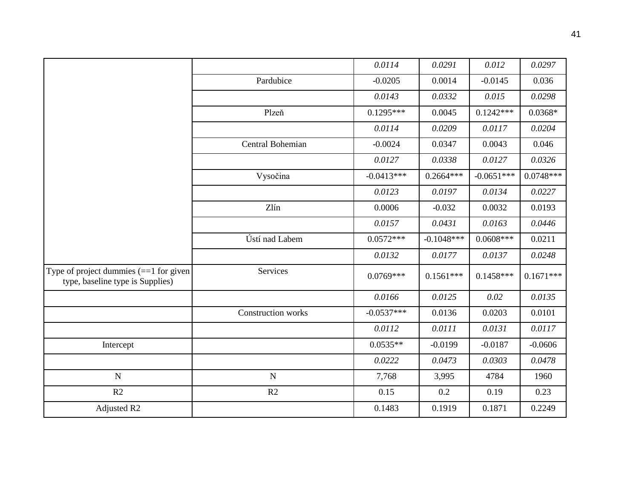|                                                                              |                    | 0.0114       | 0.0291       | 0.012        | 0.0297      |
|------------------------------------------------------------------------------|--------------------|--------------|--------------|--------------|-------------|
|                                                                              | Pardubice          | $-0.0205$    | 0.0014       | $-0.0145$    | 0.036       |
|                                                                              |                    | 0.0143       | 0.0332       | 0.015        | 0.0298      |
|                                                                              | Plzeň              | $0.1295***$  | 0.0045       | $0.1242***$  | $0.0368*$   |
|                                                                              |                    | 0.0114       | 0.0209       | 0.0117       | 0.0204      |
|                                                                              | Central Bohemian   | $-0.0024$    | 0.0347       | 0.0043       | 0.046       |
|                                                                              |                    | 0.0127       | 0.0338       | 0.0127       | 0.0326      |
|                                                                              | Vysočina           | $-0.0413***$ | $0.2664***$  | $-0.0651***$ | $0.0748***$ |
|                                                                              |                    | 0.0123       | 0.0197       | 0.0134       | 0.0227      |
|                                                                              | Zlín               | 0.0006       | $-0.032$     | 0.0032       | 0.0193      |
|                                                                              |                    | 0.0157       | 0.0431       | 0.0163       | 0.0446      |
|                                                                              | Ústí nad Labem     | $0.0572***$  | $-0.1048***$ | $0.0608***$  | 0.0211      |
|                                                                              |                    | 0.0132       | 0.0177       | 0.0137       | 0.0248      |
| Type of project dummies $(==1$ for given<br>type, baseline type is Supplies) | Services           | $0.0769***$  | $0.1561***$  | $0.1458***$  | $0.1671***$ |
|                                                                              |                    | 0.0166       | 0.0125       | 0.02         | 0.0135      |
|                                                                              | Construction works | $-0.0537***$ | 0.0136       | 0.0203       | 0.0101      |
|                                                                              |                    | 0.0112       | 0.0111       | 0.0131       | 0.0117      |
| Intercept                                                                    |                    | $0.0535**$   | $-0.0199$    | $-0.0187$    | $-0.0606$   |
|                                                                              |                    | 0.0222       | 0.0473       | 0.0303       | 0.0478      |
| $\mathbf N$                                                                  | $\mathbf N$        | 7,768        | 3,995        | 4784         | 1960        |
| R2                                                                           | R2                 | 0.15         | 0.2          | 0.19         | 0.23        |
| Adjusted R2                                                                  |                    | 0.1483       | 0.1919       | 0.1871       | 0.2249      |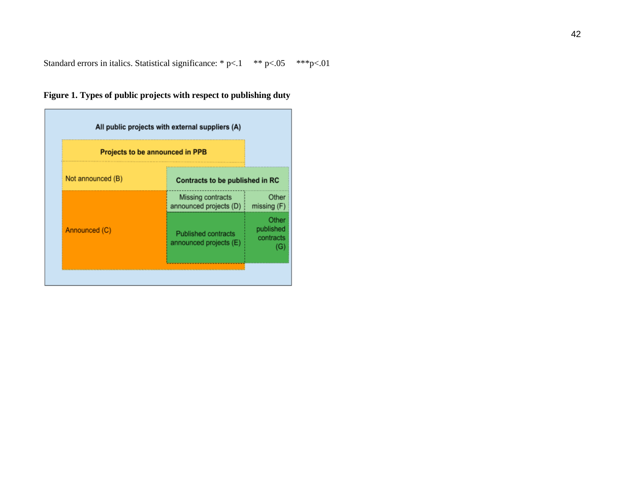Standard errors in italics. Statistical significance: \* p<.1 \*\* p<.05 \*\*\* p<.01

# **Figure 1. Types of public projects with respect to publishing duty**

<span id="page-43-0"></span>

|                   | Projects to be announced in PPB                      |                                      |
|-------------------|------------------------------------------------------|--------------------------------------|
| Not announced (B) | Contracts to be published in RC                      |                                      |
|                   | Missing contracts<br>announced projects (D)          | Other<br>missing (F)                 |
| Announced (C)     | <b>Published contracts</b><br>announced projects (E) | Other<br>published<br>contracts<br>G |